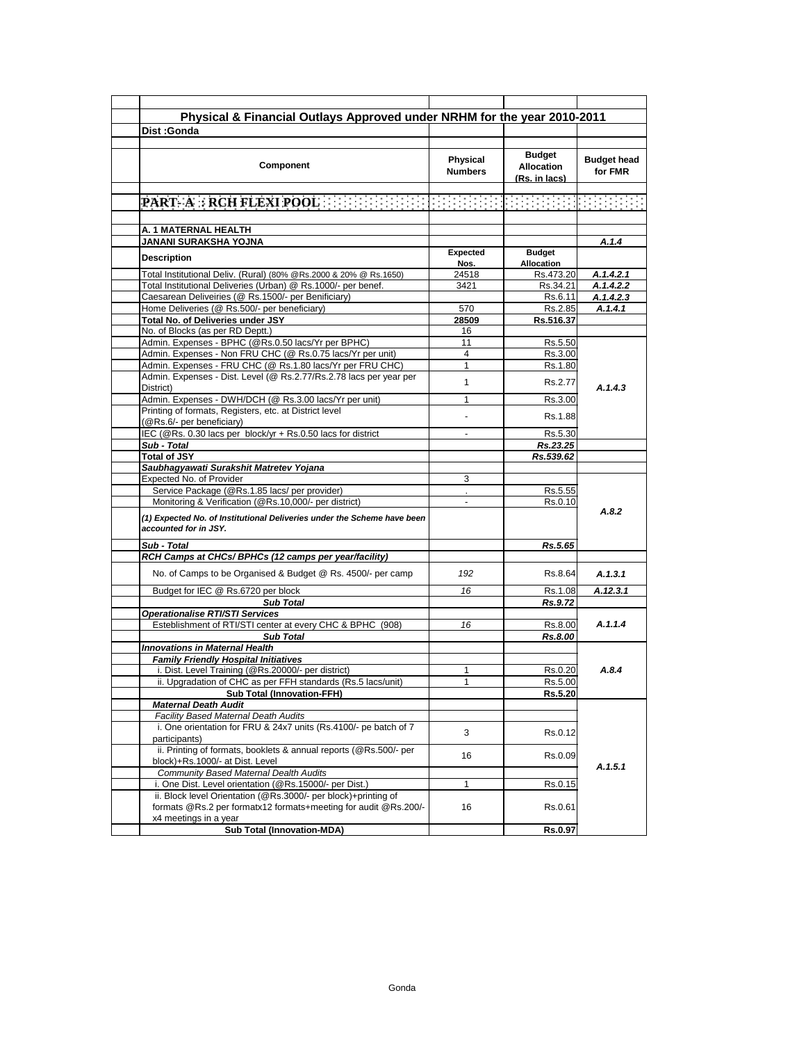| Physical & Financial Outlays Approved under NRHM for the year 2010-2011                                                           |                            |                                                     |                               |
|-----------------------------------------------------------------------------------------------------------------------------------|----------------------------|-----------------------------------------------------|-------------------------------|
| <b>Dist:Gonda</b>                                                                                                                 |                            |                                                     |                               |
|                                                                                                                                   |                            |                                                     |                               |
| Component                                                                                                                         | Physical<br><b>Numbers</b> | <b>Budget</b><br><b>Allocation</b><br>(Rs. in lacs) | <b>Budget head</b><br>for FMR |
|                                                                                                                                   |                            |                                                     |                               |
|                                                                                                                                   |                            |                                                     |                               |
|                                                                                                                                   |                            |                                                     |                               |
| A. 1 MATERNAL HEALTH                                                                                                              |                            |                                                     |                               |
| JANANI SURAKSHA YOJNA                                                                                                             |                            |                                                     | A.1.4                         |
|                                                                                                                                   | <b>Expected</b>            | <b>Budget</b>                                       |                               |
| <b>Description</b>                                                                                                                | Nos.                       | Allocation                                          |                               |
| Total Institutional Deliv. (Rural) (80% @Rs.2000 & 20% @ Rs.1650)                                                                 | 24518                      | Rs.473.20                                           | A.1.4.2.1                     |
| Total Institutional Deliveries (Urban) @ Rs.1000/- per benef.                                                                     | 3421                       | Rs.34.21                                            | A.1.4.2.2                     |
| Caesarean Deliveiries (@ Rs.1500/- per Benificiary)                                                                               |                            | Rs.6.11                                             | A.1.4.2.3                     |
| Home Deliveries (@ Rs.500/- per beneficiary)                                                                                      | 570                        | Rs.2.85                                             | A.1.4.1                       |
| Total No. of Deliveries under JSY                                                                                                 | 28509                      | Rs.516.37                                           |                               |
| No. of Blocks (as per RD Deptt.)                                                                                                  | 16                         |                                                     |                               |
| Admin. Expenses - BPHC (@Rs.0.50 lacs/Yr per BPHC)                                                                                | 11                         | Rs.5.50                                             |                               |
| Admin. Expenses - Non FRU CHC (@ Rs.0.75 lacs/Yr per unit)                                                                        | 4                          | Rs.3.00                                             |                               |
| Admin. Expenses - FRU CHC (@ Rs.1.80 lacs/Yr per FRU CHC)                                                                         | 1                          | Rs.1.80                                             |                               |
| Admin. Expenses - Dist. Level (@ Rs.2.77/Rs.2.78 lacs per year per<br>District)                                                   | 1                          | Rs.2.77                                             | A.1.4.3                       |
| Admin. Expenses - DWH/DCH (@ Rs.3.00 lacs/Yr per unit)                                                                            | 1                          | Rs.3.00                                             |                               |
| Printing of formats, Registers, etc. at District level<br>(@Rs.6/- per beneficiary)                                               |                            | Rs.1.88                                             |                               |
| IEC (@Rs. 0.30 lacs per block/yr + Rs.0.50 lacs for district                                                                      | $\mathbf{r}$               | Rs.5.30                                             |                               |
| Sub - Total                                                                                                                       |                            | Rs.23.25                                            |                               |
| <b>Total of JSY</b>                                                                                                               |                            | Rs.539.62                                           |                               |
| Saubhagyawati Surakshit Matretev Yojana                                                                                           |                            |                                                     |                               |
| Expected No. of Provider                                                                                                          | 3                          |                                                     |                               |
| Service Package (@Rs.1.85 lacs/ per provider)                                                                                     |                            | Rs.5.55                                             |                               |
| Monitoring & Verification (@Rs.10,000/- per district)                                                                             | $\frac{1}{2}$              | Rs.0.10                                             |                               |
| (1) Expected No. of Institutional Deliveries under the Scheme have been<br>accounted for in JSY.                                  |                            |                                                     | A.8.2                         |
| Sub - Total                                                                                                                       |                            | Rs.5.65                                             |                               |
| RCH Camps at CHCs/ BPHCs (12 camps per year/facility)                                                                             |                            |                                                     |                               |
| No. of Camps to be Organised & Budget @ Rs. 4500/- per camp                                                                       | 192                        | Rs.8.64                                             | A.1.3.1                       |
| Budget for IEC @ Rs.6720 per block                                                                                                | 16                         | Rs.1.08                                             | A.12.3.1                      |
| <b>Sub Total</b>                                                                                                                  |                            | Rs.9.72                                             |                               |
| <b>Operationalise RTI/STI Services</b>                                                                                            |                            |                                                     |                               |
| Esteblishment of RTI/STI center at every CHC & BPHC (908)                                                                         | 16                         | Rs.8.00                                             | A.1.1.4                       |
| <b>Sub Total</b>                                                                                                                  |                            | Rs.8.00                                             |                               |
| <b>Innovations in Maternal Health</b>                                                                                             |                            |                                                     |                               |
| <b>Family Friendly Hospital Initiatives</b>                                                                                       |                            |                                                     |                               |
| i. Dist. Level Training (@Rs.20000/- per district)                                                                                | 1                          | Rs.0.20                                             | A.8.4                         |
| ii. Upgradation of CHC as per FFH standards (Rs.5 lacs/unit)                                                                      | 1                          | Rs.5.00                                             |                               |
| <b>Sub Total (Innovation-FFH)</b>                                                                                                 |                            | Rs.5.20                                             |                               |
| <b>Maternal Death Audit</b>                                                                                                       |                            |                                                     |                               |
| Facility Based Maternal Death Audits                                                                                              |                            |                                                     |                               |
| i. One orientation for FRU & 24x7 units (Rs.4100/- pe batch of 7<br>participants)                                                 | 3                          | Rs.0.12                                             |                               |
| ii. Printing of formats, booklets & annual reports (@Rs.500/- per<br>block)+Rs.1000/- at Dist. Level                              | 16                         | Rs.0.09                                             |                               |
| <b>Community Based Maternal Dealth Audits</b>                                                                                     |                            |                                                     | A.1.5.1                       |
| i. One Dist. Level orientation (@Rs.15000/- per Dist.)                                                                            | 1                          | Rs.0.15                                             |                               |
| ii. Block level Orientation (@Rs.3000/- per block)+printing of<br>formats @Rs.2 per formatx12 formats+meeting for audit @Rs.200/- | 16                         | Rs.0.61                                             |                               |
| x4 meetings in a year<br><b>Sub Total (Innovation-MDA)</b>                                                                        |                            | Rs.0.97                                             |                               |
|                                                                                                                                   |                            |                                                     |                               |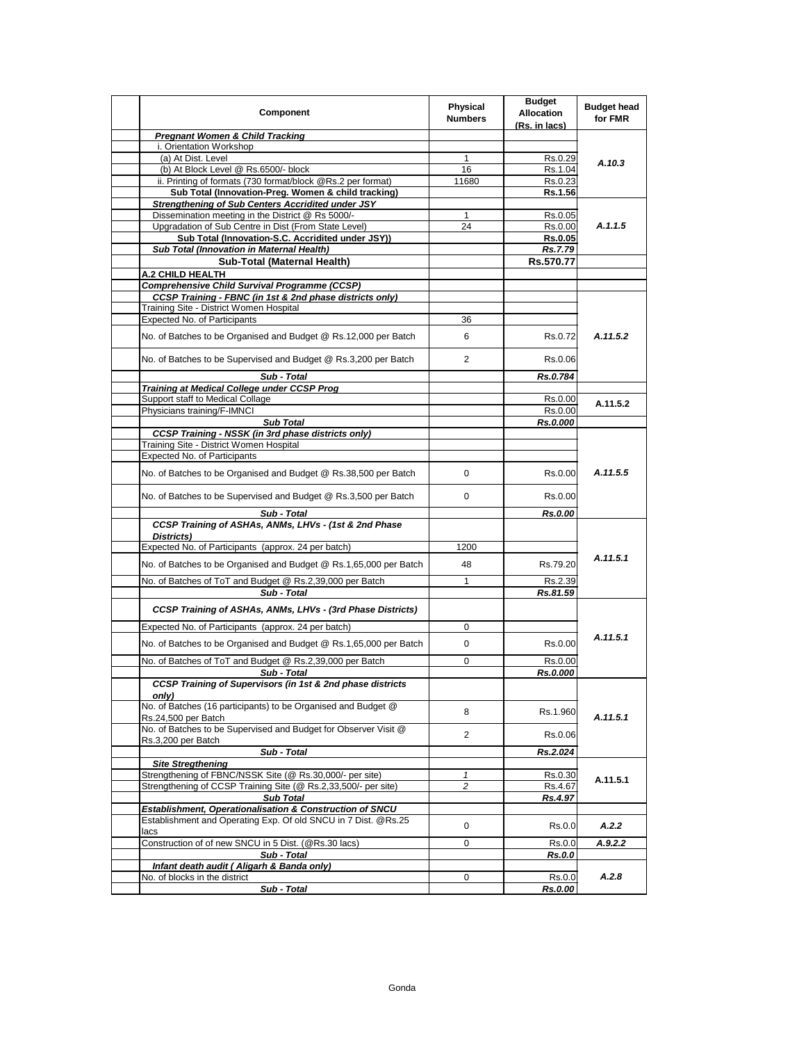| Component                                                                                                 | Physical<br><b>Numbers</b> | <b>Budget</b><br><b>Allocation</b><br>(Rs. in lacs) | <b>Budget head</b><br>for FMR |
|-----------------------------------------------------------------------------------------------------------|----------------------------|-----------------------------------------------------|-------------------------------|
| <b>Pregnant Women &amp; Child Tracking</b>                                                                |                            |                                                     |                               |
| i. Orientation Workshop                                                                                   |                            |                                                     |                               |
| (a) At Dist. Level                                                                                        | $\mathbf{1}$               | Rs.0.29                                             | A.10.3                        |
| (b) At Block Level @ Rs.6500/- block                                                                      | 16                         | Rs.1.04                                             |                               |
| ii. Printing of formats (730 format/block @Rs.2 per format)                                               | 11680                      | Rs.0.23                                             |                               |
| Sub Total (Innovation-Preg. Women & child tracking)                                                       |                            | Rs.1.56                                             |                               |
| <b>Strengthening of Sub Centers Accridited under JSY</b>                                                  |                            |                                                     |                               |
| Dissemination meeting in the District @ Rs 5000/-                                                         | $\mathbf{1}$<br>24         | Rs.0.05                                             | A.1.1.5                       |
| Upgradation of Sub Centre in Dist (From State Level)<br>Sub Total (Innovation-S.C. Accridited under JSY)) |                            | Rs.0.00                                             |                               |
| Sub Total (Innovation in Maternal Health)                                                                 |                            | <b>Rs.0.05</b><br>Rs.7.79                           |                               |
| Sub-Total (Maternal Health)                                                                               |                            | Rs.570.77                                           |                               |
| A.2 CHILD HEALTH                                                                                          |                            |                                                     |                               |
| <b>Comprehensive Child Survival Programme (CCSP)</b>                                                      |                            |                                                     |                               |
| CCSP Training - FBNC (in 1st & 2nd phase districts only)                                                  |                            |                                                     |                               |
| Training Site - District Women Hospital                                                                   |                            |                                                     |                               |
| <b>Expected No. of Participants</b>                                                                       | 36                         |                                                     |                               |
|                                                                                                           |                            |                                                     |                               |
| No. of Batches to be Organised and Budget @ Rs.12,000 per Batch                                           | 6                          | Rs.0.72                                             | A.11.5.2                      |
| No. of Batches to be Supervised and Budget @ Rs.3,200 per Batch                                           | 2                          | Rs.0.06                                             |                               |
| Sub - Total                                                                                               |                            | Rs.0.784                                            |                               |
| <b>Training at Medical College under CCSP Prog</b>                                                        |                            |                                                     |                               |
| Support staff to Medical Collage<br>Physicians training/F-IMNCI                                           |                            | Rs.0.00<br>Rs.0.00                                  | A.11.5.2                      |
| <b>Sub Total</b>                                                                                          |                            | Rs.0.000                                            |                               |
| <b>CCSP Training - NSSK (in 3rd phase districts only)</b>                                                 |                            |                                                     |                               |
| Training Site - District Women Hospital                                                                   |                            |                                                     |                               |
| <b>Expected No. of Participants</b>                                                                       |                            |                                                     |                               |
| No. of Batches to be Organised and Budget @ Rs.38,500 per Batch                                           | 0                          | Rs.0.00                                             | A.11.5.5                      |
| No. of Batches to be Supervised and Budget @ Rs.3,500 per Batch                                           | 0                          | Rs.0.00                                             |                               |
| Sub - Total                                                                                               |                            | Rs.0.00                                             |                               |
| CCSP Training of ASHAs, ANMs, LHVs - (1st & 2nd Phase<br>Districts)                                       |                            |                                                     |                               |
| Expected No. of Participants (approx. 24 per batch)                                                       | 1200                       |                                                     |                               |
|                                                                                                           |                            |                                                     | A.11.5.1                      |
| No. of Batches to be Organised and Budget @ Rs.1,65,000 per Batch                                         | 48                         | Rs.79.20                                            |                               |
| No. of Batches of ToT and Budget @ Rs.2,39,000 per Batch                                                  | $\mathbf{1}$               | Rs.2.39                                             |                               |
| Sub - Total                                                                                               |                            | Rs.81.59                                            |                               |
| CCSP Training of ASHAs, ANMs, LHVs - (3rd Phase Districts)                                                |                            |                                                     |                               |
| Expected No. of Participants (approx. 24 per batch)                                                       | 0                          |                                                     |                               |
| No. of Batches to be Organised and Budget @ Rs.1,65,000 per Batch                                         | 0                          | Rs.0.00                                             | A.11.5.1                      |
| No. of Batches of ToT and Budget @ Rs.2,39,000 per Batch                                                  | 0                          | Rs.0.00                                             |                               |
| Sub - Total                                                                                               |                            | Rs.0.000                                            |                               |
| <b>CCSP Training of Supervisors (in 1st &amp; 2nd phase districts</b><br>only)                            |                            |                                                     |                               |
| No. of Batches (16 participants) to be Organised and Budget @<br>Rs.24,500 per Batch                      | 8                          | Rs.1.960                                            | A.11.5.1                      |
| No. of Batches to be Supervised and Budget for Observer Visit @                                           | $\overline{2}$             | Rs.0.06                                             |                               |
| Rs.3,200 per Batch<br>Sub - Total                                                                         |                            |                                                     |                               |
| <b>Site Stregthening</b>                                                                                  |                            | Rs.2.024                                            |                               |
| Strengthening of FBNC/NSSK Site (@ Rs.30,000/- per site)                                                  | $\mathbf{1}$               | Rs.0.30                                             |                               |
| Strengthening of CCSP Training Site (@ Rs.2,33,500/- per site)                                            | $\overline{c}$             | Rs.4.67                                             | A.11.5.1                      |
| <b>Sub Total</b>                                                                                          |                            | Rs.4.97                                             |                               |
| Establishment, Operationalisation & Construction of SNCU                                                  |                            |                                                     |                               |
| Establishment and Operating Exp. Of old SNCU in 7 Dist. @Rs.25                                            | 0                          | Rs.0.0                                              | A.2.2                         |
| lacs                                                                                                      |                            |                                                     |                               |
| Construction of of new SNCU in 5 Dist. (@Rs.30 lacs)<br>Sub - Total                                       | 0                          | Rs.0.0                                              | A.9.2.2                       |
| Infant death audit (Aligarh & Banda only)                                                                 |                            | <b>Rs.0.0</b>                                       |                               |
| No. of blocks in the district                                                                             | 0                          | Rs.0.0                                              | A.2.8                         |
| Sub - Total                                                                                               |                            | Rs.0.00                                             |                               |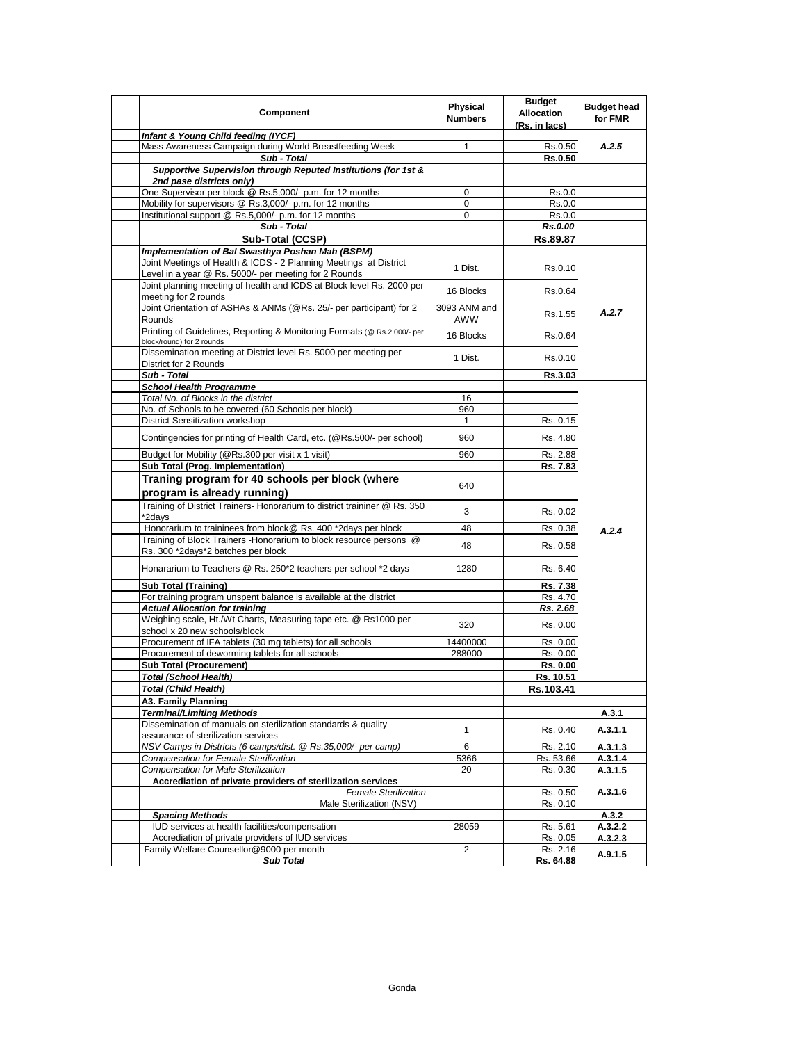| Component                                                                                                                  | <b>Physical</b><br><b>Numbers</b> | <b>Budget</b><br><b>Allocation</b><br>(Rs. in lacs) | <b>Budget head</b><br>for FMR |
|----------------------------------------------------------------------------------------------------------------------------|-----------------------------------|-----------------------------------------------------|-------------------------------|
| Infant & Young Child feeding (IYCF)                                                                                        |                                   |                                                     |                               |
| Mass Awareness Campaign during World Breastfeeding Week                                                                    | 1                                 | Rs.0.50                                             | A.2.5                         |
| Sub - Total                                                                                                                |                                   | Rs.0.50                                             |                               |
| Supportive Supervision through Reputed Institutions (for 1st &<br>2nd pase districts only)                                 |                                   |                                                     |                               |
| One Supervisor per block @ Rs.5,000/- p.m. for 12 months                                                                   | 0                                 | Rs.0.0                                              |                               |
| Mobility for supervisors @ Rs.3,000/- p.m. for 12 months                                                                   | 0                                 | Rs.0.0                                              |                               |
| Institutional support @ Rs.5,000/- p.m. for 12 months                                                                      | $\mathbf 0$                       | Rs.0.0                                              |                               |
| Sub - Total                                                                                                                |                                   | Rs.0.00                                             |                               |
| Sub-Total (CCSP)                                                                                                           |                                   | Rs.89.87                                            |                               |
| Implementation of Bal Swasthya Poshan Mah (BSPM)                                                                           |                                   |                                                     |                               |
| Joint Meetings of Health & ICDS - 2 Planning Meetings at District<br>Level in a year @ Rs. 5000/- per meeting for 2 Rounds | 1 Dist.                           | Rs.0.10                                             |                               |
| Joint planning meeting of health and ICDS at Block level Rs. 2000 per<br>meeting for 2 rounds                              | 16 Blocks                         | Rs 0.64                                             |                               |
| Joint Orientation of ASHAs & ANMs (@Rs. 25/- per participant) for 2<br>Rounds                                              | 3093 ANM and<br>AWW               | Rs.1.55                                             | A.2.7                         |
| Printing of Guidelines, Reporting & Monitoring Formats (@ Rs.2,000/- per<br>block/round) for 2 rounds                      | 16 Blocks                         | Rs.0.64                                             |                               |
| Dissemination meeting at District level Rs. 5000 per meeting per<br>District for 2 Rounds                                  | 1 Dist.                           | Rs.0.10                                             |                               |
| Sub - Total                                                                                                                |                                   | Rs.3.03                                             |                               |
| <b>School Health Programme</b>                                                                                             |                                   |                                                     |                               |
| Total No. of Blocks in the district                                                                                        | 16                                |                                                     |                               |
| No. of Schools to be covered (60 Schools per block)                                                                        | 960                               |                                                     |                               |
| <b>District Sensitization workshop</b>                                                                                     | $\mathbf{1}$                      | Rs. 0.15                                            |                               |
| Contingencies for printing of Health Card, etc. (@Rs.500/- per school)                                                     | 960                               | Rs. 4.80                                            |                               |
| Budget for Mobility (@Rs.300 per visit x 1 visit)                                                                          | 960                               | Rs. 2.88                                            |                               |
| Sub Total (Prog. Implementation)                                                                                           |                                   | Rs. 7.83                                            |                               |
| Traning program for 40 schools per block (where                                                                            |                                   |                                                     |                               |
| program is already running)                                                                                                | 640                               |                                                     |                               |
| Training of District Trainers- Honorarium to district traininer @ Rs. 350                                                  |                                   |                                                     |                               |
| *2days                                                                                                                     | 3                                 | Rs. 0.02                                            |                               |
| Honorarium to traininees from block@ Rs. 400 *2days per block                                                              | 48                                | Rs. 0.38                                            |                               |
| Training of Block Trainers - Honorarium to block resource persons @<br>Rs. 300 *2days*2 batches per block                  | 48                                | Rs. 0.58                                            | A.2.4                         |
| Honararium to Teachers @ Rs. 250*2 teachers per school *2 days                                                             | 1280                              | Rs. 6.40                                            |                               |
| <b>Sub Total (Training)</b>                                                                                                |                                   | Rs. 7.38                                            |                               |
| For training program unspent balance is available at the district                                                          |                                   | Rs. 4.70                                            |                               |
| <b>Actual Allocation for training</b>                                                                                      |                                   | Rs. 2.68                                            |                               |
| Weighing scale, Ht./Wt Charts, Measuring tape etc. @ Rs1000 per                                                            |                                   |                                                     |                               |
| school x 20 new schools/block<br>Procurement of IFA tablets (30 mg tablets) for all schools                                | 320<br>14400000                   | Rs. 0.00<br>Rs. 0.00                                |                               |
| Procurement of deworming tablets for all schools                                                                           | 288000                            | Rs. 0.00                                            |                               |
| <b>Sub Total (Procurement)</b>                                                                                             |                                   | Rs. 0.00                                            |                               |
| <b>Total (School Health)</b>                                                                                               |                                   | Rs. 10.51                                           |                               |
| <b>Total (Child Health)</b>                                                                                                |                                   | Rs.103.41                                           |                               |
| A3. Family Planning                                                                                                        |                                   |                                                     |                               |
| <b>Terminal/Limiting Methods</b>                                                                                           |                                   |                                                     | A.3.1                         |
| Dissemination of manuals on sterilization standards & quality                                                              |                                   |                                                     |                               |
| assurance of sterilization services                                                                                        | $\mathbf{1}$                      | Rs. 0.40                                            | A.3.1.1                       |
| NSV Camps in Districts (6 camps/dist. @ Rs.35.000/- per camp)                                                              | 6                                 | Rs. 2.10                                            | A.3.1.3                       |
| Compensation for Female Sterilization                                                                                      | 5366                              | Rs. 53.66                                           | A.3.1.4                       |
| <b>Compensation for Male Sterilization</b>                                                                                 | 20                                | Rs. 0.30                                            | A.3.1.5                       |
| Accrediation of private providers of sterilization services                                                                |                                   |                                                     |                               |
| <b>Female Sterilization</b><br>Male Sterilization (NSV)                                                                    |                                   | Rs. 0.50<br>Rs. 0.10                                | A.3.1.6                       |
| <b>Spacing Methods</b>                                                                                                     |                                   |                                                     | A.3.2                         |
| IUD services at health facilities/compensation                                                                             | 28059                             | Rs. 5.61                                            | A.3.2.2                       |
| Accrediation of private providers of IUD services                                                                          |                                   | Rs. 0.05                                            | A.3.2.3                       |
| Family Welfare Counsellor@9000 per month                                                                                   | $\overline{2}$                    | Rs. 2.16                                            |                               |
| <b>Sub Total</b>                                                                                                           |                                   | Rs. 64.88                                           | A.9.1.5                       |
|                                                                                                                            |                                   |                                                     |                               |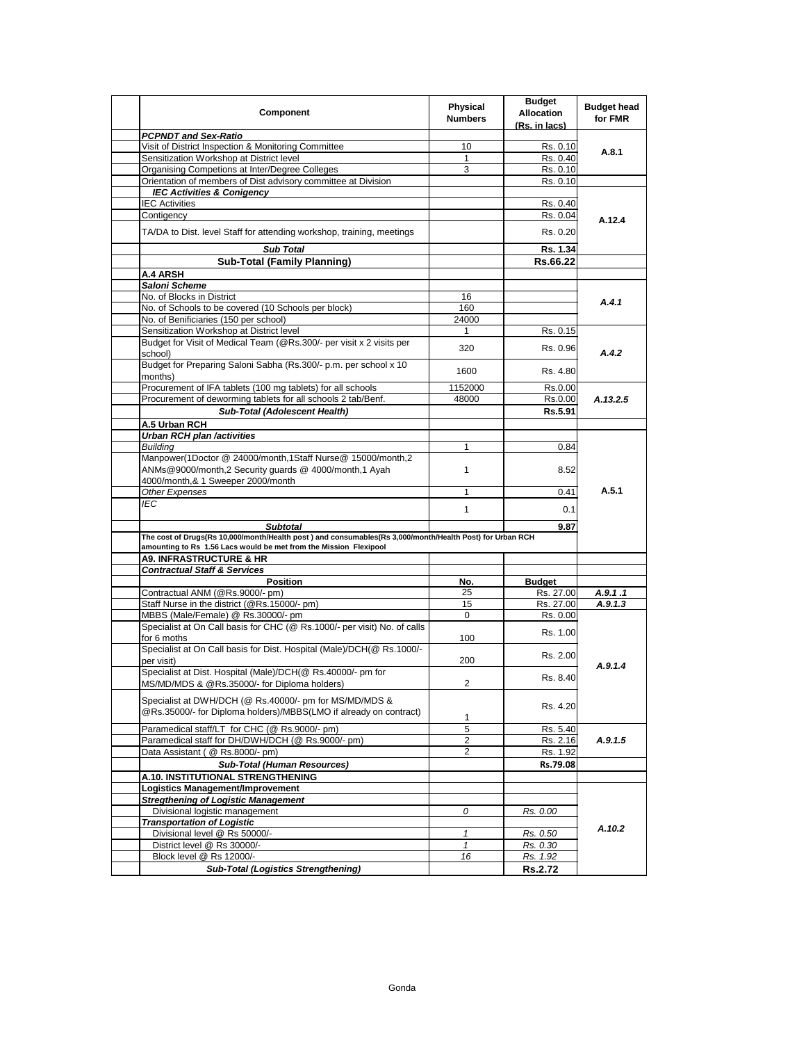| <b>PCPNDT and Sex-Ratio</b><br>Visit of District Inspection & Monitoring Committee<br>10<br>Rs. 0.10<br>A.8.1<br>Sensitization Workshop at District level<br>1<br>Rs. 0.40<br>Organising Competions at Inter/Degree Colleges<br>3<br>Rs. 0.10<br>Orientation of members of Dist advisory committee at Division<br>Rs. 0.10<br><b>IEC Activities &amp; Conigency</b><br><b>IEC Activities</b><br>Rs. 0.40<br>Rs. 0.04<br>Contigency<br>A.12.4<br>TA/DA to Dist. level Staff for attending workshop, training, meetings<br>Rs. 0.20<br><b>Sub Total</b><br>Rs. 1.34<br><b>Sub-Total (Family Planning)</b><br>Rs.66.22<br>A.4 ARSH<br>Saloni Scheme<br>No. of Blocks in District<br>16<br>A.4.1<br>No. of Schools to be covered (10 Schools per block)<br>160<br>No. of Benificiaries (150 per school)<br>24000<br>Sensitization Workshop at District level<br>Rs. 0.15<br>1<br>Budget for Visit of Medical Team (@Rs.300/- per visit x 2 visits per<br>320<br>Rs. 0.96<br>A.4.2<br>school)<br>Budget for Preparing Saloni Sabha (Rs.300/- p.m. per school x 10<br>1600<br>Rs. 4.80<br>months)<br>Procurement of IFA tablets (100 mg tablets) for all schools<br>1152000<br>Rs.0.00<br>Procurement of deworming tablets for all schools 2 tab/Benf.<br>48000<br>Rs.0.00<br>A.13.2.5<br>Sub-Total (Adolescent Health)<br>Rs.5.91<br>A.5 Urban RCH<br><b>Urban RCH plan /activities</b><br>$\mathbf{1}$<br><b>Building</b><br>0.84<br>Manpower(1Doctor @ 24000/month,1Staff Nurse@ 15000/month,2<br>ANMs@9000/month,2 Security guards @ 4000/month,1 Ayah<br>$\mathbf{1}$<br>8.52<br>4000/month,& 1 Sweeper 2000/month<br>A.5.1<br>Other Expenses<br>1<br>0.41<br>IEC<br>$\mathbf{1}$<br>0.1<br><b>Subtotal</b><br>9.87<br>The cost of Drugs(Rs 10,000/month/Health post) and consumables(Rs 3,000/month/Health Post) for Urban RCH<br>amounting to Rs 1.56 Lacs would be met from the Mission Flexipool<br><b>A9. INFRASTRUCTURE &amp; HR</b><br><b>Contractual Staff &amp; Services</b><br><b>Position</b><br>No.<br><b>Budget</b><br>Contractual ANM (@Rs.9000/- pm)<br>25<br>Rs. 27.00<br>A.9.1.1<br>15<br>Staff Nurse in the district (@Rs.15000/- pm)<br>Rs. 27.00<br>A.9.1.3<br>MBBS (Male/Female) @ Rs.30000/- pm<br>0<br>Rs. 0.00<br>Specialist at On Call basis for CHC (@ Rs.1000/- per visit) No. of calls<br>Rs. 1.00<br>100<br>for 6 moths<br>Specialist at On Call basis for Dist. Hospital (Male)/DCH(@ Rs.1000/-<br>Rs. 2.00<br>200<br>per visit)<br>A.9.1.4<br>Specialist at Dist. Hospital (Male)/DCH(@ Rs.40000/- pm for<br>Rs. 8.40<br>MS/MD/MDS & @Rs.35000/- for Diploma holders)<br>$\overline{2}$<br>Specialist at DWH/DCH (@ Rs.40000/- pm for MS/MD/MDS &<br>Rs. 4.20<br>@Rs.35000/- for Diploma holders)/MBBS(LMO if already on contract)<br>1<br>Paramedical staff/LT for CHC (@ Rs.9000/- pm)<br>5<br>Rs. 5.40<br>Paramedical staff for DH/DWH/DCH (@ Rs.9000/- pm)<br>A.9.1.5<br>2<br>Rs. 2.16<br>$\overline{2}$<br>Data Assistant (@ Rs.8000/- pm)<br>Rs. 1.92<br><b>Sub-Total (Human Resources)</b><br>Rs.79.08<br>A.10. INSTITUTIONAL STRENGTHENING<br>Logistics Management/Improvement<br><b>Stregthening of Logistic Management</b><br>Divisional logistic management<br>Rs. 0.00<br>0<br><b>Transportation of Logistic</b><br>A.10.2<br>Divisional level @ Rs 50000/-<br>1<br>Rs. 0.50<br>District level @ Rs 30000/-<br>Rs. 0.30<br>1<br>Block level @ Rs 12000/-<br>16<br>Rs. 1.92<br><b>Sub-Total (Logistics Strengthening)</b><br><b>Rs.2.72</b> | <b>Component</b> | Physical<br><b>Numbers</b> | <b>Budget</b><br><b>Allocation</b><br>(Rs. in lacs) | <b>Budget head</b><br>for FMR |
|--------------------------------------------------------------------------------------------------------------------------------------------------------------------------------------------------------------------------------------------------------------------------------------------------------------------------------------------------------------------------------------------------------------------------------------------------------------------------------------------------------------------------------------------------------------------------------------------------------------------------------------------------------------------------------------------------------------------------------------------------------------------------------------------------------------------------------------------------------------------------------------------------------------------------------------------------------------------------------------------------------------------------------------------------------------------------------------------------------------------------------------------------------------------------------------------------------------------------------------------------------------------------------------------------------------------------------------------------------------------------------------------------------------------------------------------------------------------------------------------------------------------------------------------------------------------------------------------------------------------------------------------------------------------------------------------------------------------------------------------------------------------------------------------------------------------------------------------------------------------------------------------------------------------------------------------------------------------------------------------------------------------------------------------------------------------------------------------------------------------------------------------------------------------------------------------------------------------------------------------------------------------------------------------------------------------------------------------------------------------------------------------------------------------------------------------------------------------------------------------------------------------------------------------------------------------------------------------------------------------------------------------------------------------------------------------------------------------------------------------------------------------------------------------------------------------------------------------------------------------------------------------------------------------------------------------------------------------------------------------------------------------------------------------------------------------------------------------------------------------------------------------------------------------------------------------------------------------------------------------------------------------------------------------------------------------------------------------------------------------------------------------------------------------------------------------------------------------------------------|------------------|----------------------------|-----------------------------------------------------|-------------------------------|
|                                                                                                                                                                                                                                                                                                                                                                                                                                                                                                                                                                                                                                                                                                                                                                                                                                                                                                                                                                                                                                                                                                                                                                                                                                                                                                                                                                                                                                                                                                                                                                                                                                                                                                                                                                                                                                                                                                                                                                                                                                                                                                                                                                                                                                                                                                                                                                                                                                                                                                                                                                                                                                                                                                                                                                                                                                                                                                                                                                                                                                                                                                                                                                                                                                                                                                                                                                                                                                                                                      |                  |                            |                                                     |                               |
|                                                                                                                                                                                                                                                                                                                                                                                                                                                                                                                                                                                                                                                                                                                                                                                                                                                                                                                                                                                                                                                                                                                                                                                                                                                                                                                                                                                                                                                                                                                                                                                                                                                                                                                                                                                                                                                                                                                                                                                                                                                                                                                                                                                                                                                                                                                                                                                                                                                                                                                                                                                                                                                                                                                                                                                                                                                                                                                                                                                                                                                                                                                                                                                                                                                                                                                                                                                                                                                                                      |                  |                            |                                                     |                               |
|                                                                                                                                                                                                                                                                                                                                                                                                                                                                                                                                                                                                                                                                                                                                                                                                                                                                                                                                                                                                                                                                                                                                                                                                                                                                                                                                                                                                                                                                                                                                                                                                                                                                                                                                                                                                                                                                                                                                                                                                                                                                                                                                                                                                                                                                                                                                                                                                                                                                                                                                                                                                                                                                                                                                                                                                                                                                                                                                                                                                                                                                                                                                                                                                                                                                                                                                                                                                                                                                                      |                  |                            |                                                     |                               |
|                                                                                                                                                                                                                                                                                                                                                                                                                                                                                                                                                                                                                                                                                                                                                                                                                                                                                                                                                                                                                                                                                                                                                                                                                                                                                                                                                                                                                                                                                                                                                                                                                                                                                                                                                                                                                                                                                                                                                                                                                                                                                                                                                                                                                                                                                                                                                                                                                                                                                                                                                                                                                                                                                                                                                                                                                                                                                                                                                                                                                                                                                                                                                                                                                                                                                                                                                                                                                                                                                      |                  |                            |                                                     |                               |
|                                                                                                                                                                                                                                                                                                                                                                                                                                                                                                                                                                                                                                                                                                                                                                                                                                                                                                                                                                                                                                                                                                                                                                                                                                                                                                                                                                                                                                                                                                                                                                                                                                                                                                                                                                                                                                                                                                                                                                                                                                                                                                                                                                                                                                                                                                                                                                                                                                                                                                                                                                                                                                                                                                                                                                                                                                                                                                                                                                                                                                                                                                                                                                                                                                                                                                                                                                                                                                                                                      |                  |                            |                                                     |                               |
|                                                                                                                                                                                                                                                                                                                                                                                                                                                                                                                                                                                                                                                                                                                                                                                                                                                                                                                                                                                                                                                                                                                                                                                                                                                                                                                                                                                                                                                                                                                                                                                                                                                                                                                                                                                                                                                                                                                                                                                                                                                                                                                                                                                                                                                                                                                                                                                                                                                                                                                                                                                                                                                                                                                                                                                                                                                                                                                                                                                                                                                                                                                                                                                                                                                                                                                                                                                                                                                                                      |                  |                            |                                                     |                               |
|                                                                                                                                                                                                                                                                                                                                                                                                                                                                                                                                                                                                                                                                                                                                                                                                                                                                                                                                                                                                                                                                                                                                                                                                                                                                                                                                                                                                                                                                                                                                                                                                                                                                                                                                                                                                                                                                                                                                                                                                                                                                                                                                                                                                                                                                                                                                                                                                                                                                                                                                                                                                                                                                                                                                                                                                                                                                                                                                                                                                                                                                                                                                                                                                                                                                                                                                                                                                                                                                                      |                  |                            |                                                     |                               |
|                                                                                                                                                                                                                                                                                                                                                                                                                                                                                                                                                                                                                                                                                                                                                                                                                                                                                                                                                                                                                                                                                                                                                                                                                                                                                                                                                                                                                                                                                                                                                                                                                                                                                                                                                                                                                                                                                                                                                                                                                                                                                                                                                                                                                                                                                                                                                                                                                                                                                                                                                                                                                                                                                                                                                                                                                                                                                                                                                                                                                                                                                                                                                                                                                                                                                                                                                                                                                                                                                      |                  |                            |                                                     |                               |
|                                                                                                                                                                                                                                                                                                                                                                                                                                                                                                                                                                                                                                                                                                                                                                                                                                                                                                                                                                                                                                                                                                                                                                                                                                                                                                                                                                                                                                                                                                                                                                                                                                                                                                                                                                                                                                                                                                                                                                                                                                                                                                                                                                                                                                                                                                                                                                                                                                                                                                                                                                                                                                                                                                                                                                                                                                                                                                                                                                                                                                                                                                                                                                                                                                                                                                                                                                                                                                                                                      |                  |                            |                                                     |                               |
|                                                                                                                                                                                                                                                                                                                                                                                                                                                                                                                                                                                                                                                                                                                                                                                                                                                                                                                                                                                                                                                                                                                                                                                                                                                                                                                                                                                                                                                                                                                                                                                                                                                                                                                                                                                                                                                                                                                                                                                                                                                                                                                                                                                                                                                                                                                                                                                                                                                                                                                                                                                                                                                                                                                                                                                                                                                                                                                                                                                                                                                                                                                                                                                                                                                                                                                                                                                                                                                                                      |                  |                            |                                                     |                               |
|                                                                                                                                                                                                                                                                                                                                                                                                                                                                                                                                                                                                                                                                                                                                                                                                                                                                                                                                                                                                                                                                                                                                                                                                                                                                                                                                                                                                                                                                                                                                                                                                                                                                                                                                                                                                                                                                                                                                                                                                                                                                                                                                                                                                                                                                                                                                                                                                                                                                                                                                                                                                                                                                                                                                                                                                                                                                                                                                                                                                                                                                                                                                                                                                                                                                                                                                                                                                                                                                                      |                  |                            |                                                     |                               |
|                                                                                                                                                                                                                                                                                                                                                                                                                                                                                                                                                                                                                                                                                                                                                                                                                                                                                                                                                                                                                                                                                                                                                                                                                                                                                                                                                                                                                                                                                                                                                                                                                                                                                                                                                                                                                                                                                                                                                                                                                                                                                                                                                                                                                                                                                                                                                                                                                                                                                                                                                                                                                                                                                                                                                                                                                                                                                                                                                                                                                                                                                                                                                                                                                                                                                                                                                                                                                                                                                      |                  |                            |                                                     |                               |
|                                                                                                                                                                                                                                                                                                                                                                                                                                                                                                                                                                                                                                                                                                                                                                                                                                                                                                                                                                                                                                                                                                                                                                                                                                                                                                                                                                                                                                                                                                                                                                                                                                                                                                                                                                                                                                                                                                                                                                                                                                                                                                                                                                                                                                                                                                                                                                                                                                                                                                                                                                                                                                                                                                                                                                                                                                                                                                                                                                                                                                                                                                                                                                                                                                                                                                                                                                                                                                                                                      |                  |                            |                                                     |                               |
|                                                                                                                                                                                                                                                                                                                                                                                                                                                                                                                                                                                                                                                                                                                                                                                                                                                                                                                                                                                                                                                                                                                                                                                                                                                                                                                                                                                                                                                                                                                                                                                                                                                                                                                                                                                                                                                                                                                                                                                                                                                                                                                                                                                                                                                                                                                                                                                                                                                                                                                                                                                                                                                                                                                                                                                                                                                                                                                                                                                                                                                                                                                                                                                                                                                                                                                                                                                                                                                                                      |                  |                            |                                                     |                               |
|                                                                                                                                                                                                                                                                                                                                                                                                                                                                                                                                                                                                                                                                                                                                                                                                                                                                                                                                                                                                                                                                                                                                                                                                                                                                                                                                                                                                                                                                                                                                                                                                                                                                                                                                                                                                                                                                                                                                                                                                                                                                                                                                                                                                                                                                                                                                                                                                                                                                                                                                                                                                                                                                                                                                                                                                                                                                                                                                                                                                                                                                                                                                                                                                                                                                                                                                                                                                                                                                                      |                  |                            |                                                     |                               |
|                                                                                                                                                                                                                                                                                                                                                                                                                                                                                                                                                                                                                                                                                                                                                                                                                                                                                                                                                                                                                                                                                                                                                                                                                                                                                                                                                                                                                                                                                                                                                                                                                                                                                                                                                                                                                                                                                                                                                                                                                                                                                                                                                                                                                                                                                                                                                                                                                                                                                                                                                                                                                                                                                                                                                                                                                                                                                                                                                                                                                                                                                                                                                                                                                                                                                                                                                                                                                                                                                      |                  |                            |                                                     |                               |
|                                                                                                                                                                                                                                                                                                                                                                                                                                                                                                                                                                                                                                                                                                                                                                                                                                                                                                                                                                                                                                                                                                                                                                                                                                                                                                                                                                                                                                                                                                                                                                                                                                                                                                                                                                                                                                                                                                                                                                                                                                                                                                                                                                                                                                                                                                                                                                                                                                                                                                                                                                                                                                                                                                                                                                                                                                                                                                                                                                                                                                                                                                                                                                                                                                                                                                                                                                                                                                                                                      |                  |                            |                                                     |                               |
|                                                                                                                                                                                                                                                                                                                                                                                                                                                                                                                                                                                                                                                                                                                                                                                                                                                                                                                                                                                                                                                                                                                                                                                                                                                                                                                                                                                                                                                                                                                                                                                                                                                                                                                                                                                                                                                                                                                                                                                                                                                                                                                                                                                                                                                                                                                                                                                                                                                                                                                                                                                                                                                                                                                                                                                                                                                                                                                                                                                                                                                                                                                                                                                                                                                                                                                                                                                                                                                                                      |                  |                            |                                                     |                               |
|                                                                                                                                                                                                                                                                                                                                                                                                                                                                                                                                                                                                                                                                                                                                                                                                                                                                                                                                                                                                                                                                                                                                                                                                                                                                                                                                                                                                                                                                                                                                                                                                                                                                                                                                                                                                                                                                                                                                                                                                                                                                                                                                                                                                                                                                                                                                                                                                                                                                                                                                                                                                                                                                                                                                                                                                                                                                                                                                                                                                                                                                                                                                                                                                                                                                                                                                                                                                                                                                                      |                  |                            |                                                     |                               |
|                                                                                                                                                                                                                                                                                                                                                                                                                                                                                                                                                                                                                                                                                                                                                                                                                                                                                                                                                                                                                                                                                                                                                                                                                                                                                                                                                                                                                                                                                                                                                                                                                                                                                                                                                                                                                                                                                                                                                                                                                                                                                                                                                                                                                                                                                                                                                                                                                                                                                                                                                                                                                                                                                                                                                                                                                                                                                                                                                                                                                                                                                                                                                                                                                                                                                                                                                                                                                                                                                      |                  |                            |                                                     |                               |
|                                                                                                                                                                                                                                                                                                                                                                                                                                                                                                                                                                                                                                                                                                                                                                                                                                                                                                                                                                                                                                                                                                                                                                                                                                                                                                                                                                                                                                                                                                                                                                                                                                                                                                                                                                                                                                                                                                                                                                                                                                                                                                                                                                                                                                                                                                                                                                                                                                                                                                                                                                                                                                                                                                                                                                                                                                                                                                                                                                                                                                                                                                                                                                                                                                                                                                                                                                                                                                                                                      |                  |                            |                                                     |                               |
|                                                                                                                                                                                                                                                                                                                                                                                                                                                                                                                                                                                                                                                                                                                                                                                                                                                                                                                                                                                                                                                                                                                                                                                                                                                                                                                                                                                                                                                                                                                                                                                                                                                                                                                                                                                                                                                                                                                                                                                                                                                                                                                                                                                                                                                                                                                                                                                                                                                                                                                                                                                                                                                                                                                                                                                                                                                                                                                                                                                                                                                                                                                                                                                                                                                                                                                                                                                                                                                                                      |                  |                            |                                                     |                               |
|                                                                                                                                                                                                                                                                                                                                                                                                                                                                                                                                                                                                                                                                                                                                                                                                                                                                                                                                                                                                                                                                                                                                                                                                                                                                                                                                                                                                                                                                                                                                                                                                                                                                                                                                                                                                                                                                                                                                                                                                                                                                                                                                                                                                                                                                                                                                                                                                                                                                                                                                                                                                                                                                                                                                                                                                                                                                                                                                                                                                                                                                                                                                                                                                                                                                                                                                                                                                                                                                                      |                  |                            |                                                     |                               |
|                                                                                                                                                                                                                                                                                                                                                                                                                                                                                                                                                                                                                                                                                                                                                                                                                                                                                                                                                                                                                                                                                                                                                                                                                                                                                                                                                                                                                                                                                                                                                                                                                                                                                                                                                                                                                                                                                                                                                                                                                                                                                                                                                                                                                                                                                                                                                                                                                                                                                                                                                                                                                                                                                                                                                                                                                                                                                                                                                                                                                                                                                                                                                                                                                                                                                                                                                                                                                                                                                      |                  |                            |                                                     |                               |
|                                                                                                                                                                                                                                                                                                                                                                                                                                                                                                                                                                                                                                                                                                                                                                                                                                                                                                                                                                                                                                                                                                                                                                                                                                                                                                                                                                                                                                                                                                                                                                                                                                                                                                                                                                                                                                                                                                                                                                                                                                                                                                                                                                                                                                                                                                                                                                                                                                                                                                                                                                                                                                                                                                                                                                                                                                                                                                                                                                                                                                                                                                                                                                                                                                                                                                                                                                                                                                                                                      |                  |                            |                                                     |                               |
|                                                                                                                                                                                                                                                                                                                                                                                                                                                                                                                                                                                                                                                                                                                                                                                                                                                                                                                                                                                                                                                                                                                                                                                                                                                                                                                                                                                                                                                                                                                                                                                                                                                                                                                                                                                                                                                                                                                                                                                                                                                                                                                                                                                                                                                                                                                                                                                                                                                                                                                                                                                                                                                                                                                                                                                                                                                                                                                                                                                                                                                                                                                                                                                                                                                                                                                                                                                                                                                                                      |                  |                            |                                                     |                               |
|                                                                                                                                                                                                                                                                                                                                                                                                                                                                                                                                                                                                                                                                                                                                                                                                                                                                                                                                                                                                                                                                                                                                                                                                                                                                                                                                                                                                                                                                                                                                                                                                                                                                                                                                                                                                                                                                                                                                                                                                                                                                                                                                                                                                                                                                                                                                                                                                                                                                                                                                                                                                                                                                                                                                                                                                                                                                                                                                                                                                                                                                                                                                                                                                                                                                                                                                                                                                                                                                                      |                  |                            |                                                     |                               |
|                                                                                                                                                                                                                                                                                                                                                                                                                                                                                                                                                                                                                                                                                                                                                                                                                                                                                                                                                                                                                                                                                                                                                                                                                                                                                                                                                                                                                                                                                                                                                                                                                                                                                                                                                                                                                                                                                                                                                                                                                                                                                                                                                                                                                                                                                                                                                                                                                                                                                                                                                                                                                                                                                                                                                                                                                                                                                                                                                                                                                                                                                                                                                                                                                                                                                                                                                                                                                                                                                      |                  |                            |                                                     |                               |
|                                                                                                                                                                                                                                                                                                                                                                                                                                                                                                                                                                                                                                                                                                                                                                                                                                                                                                                                                                                                                                                                                                                                                                                                                                                                                                                                                                                                                                                                                                                                                                                                                                                                                                                                                                                                                                                                                                                                                                                                                                                                                                                                                                                                                                                                                                                                                                                                                                                                                                                                                                                                                                                                                                                                                                                                                                                                                                                                                                                                                                                                                                                                                                                                                                                                                                                                                                                                                                                                                      |                  |                            |                                                     |                               |
|                                                                                                                                                                                                                                                                                                                                                                                                                                                                                                                                                                                                                                                                                                                                                                                                                                                                                                                                                                                                                                                                                                                                                                                                                                                                                                                                                                                                                                                                                                                                                                                                                                                                                                                                                                                                                                                                                                                                                                                                                                                                                                                                                                                                                                                                                                                                                                                                                                                                                                                                                                                                                                                                                                                                                                                                                                                                                                                                                                                                                                                                                                                                                                                                                                                                                                                                                                                                                                                                                      |                  |                            |                                                     |                               |
|                                                                                                                                                                                                                                                                                                                                                                                                                                                                                                                                                                                                                                                                                                                                                                                                                                                                                                                                                                                                                                                                                                                                                                                                                                                                                                                                                                                                                                                                                                                                                                                                                                                                                                                                                                                                                                                                                                                                                                                                                                                                                                                                                                                                                                                                                                                                                                                                                                                                                                                                                                                                                                                                                                                                                                                                                                                                                                                                                                                                                                                                                                                                                                                                                                                                                                                                                                                                                                                                                      |                  |                            |                                                     |                               |
|                                                                                                                                                                                                                                                                                                                                                                                                                                                                                                                                                                                                                                                                                                                                                                                                                                                                                                                                                                                                                                                                                                                                                                                                                                                                                                                                                                                                                                                                                                                                                                                                                                                                                                                                                                                                                                                                                                                                                                                                                                                                                                                                                                                                                                                                                                                                                                                                                                                                                                                                                                                                                                                                                                                                                                                                                                                                                                                                                                                                                                                                                                                                                                                                                                                                                                                                                                                                                                                                                      |                  |                            |                                                     |                               |
|                                                                                                                                                                                                                                                                                                                                                                                                                                                                                                                                                                                                                                                                                                                                                                                                                                                                                                                                                                                                                                                                                                                                                                                                                                                                                                                                                                                                                                                                                                                                                                                                                                                                                                                                                                                                                                                                                                                                                                                                                                                                                                                                                                                                                                                                                                                                                                                                                                                                                                                                                                                                                                                                                                                                                                                                                                                                                                                                                                                                                                                                                                                                                                                                                                                                                                                                                                                                                                                                                      |                  |                            |                                                     |                               |
|                                                                                                                                                                                                                                                                                                                                                                                                                                                                                                                                                                                                                                                                                                                                                                                                                                                                                                                                                                                                                                                                                                                                                                                                                                                                                                                                                                                                                                                                                                                                                                                                                                                                                                                                                                                                                                                                                                                                                                                                                                                                                                                                                                                                                                                                                                                                                                                                                                                                                                                                                                                                                                                                                                                                                                                                                                                                                                                                                                                                                                                                                                                                                                                                                                                                                                                                                                                                                                                                                      |                  |                            |                                                     |                               |
|                                                                                                                                                                                                                                                                                                                                                                                                                                                                                                                                                                                                                                                                                                                                                                                                                                                                                                                                                                                                                                                                                                                                                                                                                                                                                                                                                                                                                                                                                                                                                                                                                                                                                                                                                                                                                                                                                                                                                                                                                                                                                                                                                                                                                                                                                                                                                                                                                                                                                                                                                                                                                                                                                                                                                                                                                                                                                                                                                                                                                                                                                                                                                                                                                                                                                                                                                                                                                                                                                      |                  |                            |                                                     |                               |
|                                                                                                                                                                                                                                                                                                                                                                                                                                                                                                                                                                                                                                                                                                                                                                                                                                                                                                                                                                                                                                                                                                                                                                                                                                                                                                                                                                                                                                                                                                                                                                                                                                                                                                                                                                                                                                                                                                                                                                                                                                                                                                                                                                                                                                                                                                                                                                                                                                                                                                                                                                                                                                                                                                                                                                                                                                                                                                                                                                                                                                                                                                                                                                                                                                                                                                                                                                                                                                                                                      |                  |                            |                                                     |                               |
|                                                                                                                                                                                                                                                                                                                                                                                                                                                                                                                                                                                                                                                                                                                                                                                                                                                                                                                                                                                                                                                                                                                                                                                                                                                                                                                                                                                                                                                                                                                                                                                                                                                                                                                                                                                                                                                                                                                                                                                                                                                                                                                                                                                                                                                                                                                                                                                                                                                                                                                                                                                                                                                                                                                                                                                                                                                                                                                                                                                                                                                                                                                                                                                                                                                                                                                                                                                                                                                                                      |                  |                            |                                                     |                               |
|                                                                                                                                                                                                                                                                                                                                                                                                                                                                                                                                                                                                                                                                                                                                                                                                                                                                                                                                                                                                                                                                                                                                                                                                                                                                                                                                                                                                                                                                                                                                                                                                                                                                                                                                                                                                                                                                                                                                                                                                                                                                                                                                                                                                                                                                                                                                                                                                                                                                                                                                                                                                                                                                                                                                                                                                                                                                                                                                                                                                                                                                                                                                                                                                                                                                                                                                                                                                                                                                                      |                  |                            |                                                     |                               |
|                                                                                                                                                                                                                                                                                                                                                                                                                                                                                                                                                                                                                                                                                                                                                                                                                                                                                                                                                                                                                                                                                                                                                                                                                                                                                                                                                                                                                                                                                                                                                                                                                                                                                                                                                                                                                                                                                                                                                                                                                                                                                                                                                                                                                                                                                                                                                                                                                                                                                                                                                                                                                                                                                                                                                                                                                                                                                                                                                                                                                                                                                                                                                                                                                                                                                                                                                                                                                                                                                      |                  |                            |                                                     |                               |
|                                                                                                                                                                                                                                                                                                                                                                                                                                                                                                                                                                                                                                                                                                                                                                                                                                                                                                                                                                                                                                                                                                                                                                                                                                                                                                                                                                                                                                                                                                                                                                                                                                                                                                                                                                                                                                                                                                                                                                                                                                                                                                                                                                                                                                                                                                                                                                                                                                                                                                                                                                                                                                                                                                                                                                                                                                                                                                                                                                                                                                                                                                                                                                                                                                                                                                                                                                                                                                                                                      |                  |                            |                                                     |                               |
|                                                                                                                                                                                                                                                                                                                                                                                                                                                                                                                                                                                                                                                                                                                                                                                                                                                                                                                                                                                                                                                                                                                                                                                                                                                                                                                                                                                                                                                                                                                                                                                                                                                                                                                                                                                                                                                                                                                                                                                                                                                                                                                                                                                                                                                                                                                                                                                                                                                                                                                                                                                                                                                                                                                                                                                                                                                                                                                                                                                                                                                                                                                                                                                                                                                                                                                                                                                                                                                                                      |                  |                            |                                                     |                               |
|                                                                                                                                                                                                                                                                                                                                                                                                                                                                                                                                                                                                                                                                                                                                                                                                                                                                                                                                                                                                                                                                                                                                                                                                                                                                                                                                                                                                                                                                                                                                                                                                                                                                                                                                                                                                                                                                                                                                                                                                                                                                                                                                                                                                                                                                                                                                                                                                                                                                                                                                                                                                                                                                                                                                                                                                                                                                                                                                                                                                                                                                                                                                                                                                                                                                                                                                                                                                                                                                                      |                  |                            |                                                     |                               |
|                                                                                                                                                                                                                                                                                                                                                                                                                                                                                                                                                                                                                                                                                                                                                                                                                                                                                                                                                                                                                                                                                                                                                                                                                                                                                                                                                                                                                                                                                                                                                                                                                                                                                                                                                                                                                                                                                                                                                                                                                                                                                                                                                                                                                                                                                                                                                                                                                                                                                                                                                                                                                                                                                                                                                                                                                                                                                                                                                                                                                                                                                                                                                                                                                                                                                                                                                                                                                                                                                      |                  |                            |                                                     |                               |
|                                                                                                                                                                                                                                                                                                                                                                                                                                                                                                                                                                                                                                                                                                                                                                                                                                                                                                                                                                                                                                                                                                                                                                                                                                                                                                                                                                                                                                                                                                                                                                                                                                                                                                                                                                                                                                                                                                                                                                                                                                                                                                                                                                                                                                                                                                                                                                                                                                                                                                                                                                                                                                                                                                                                                                                                                                                                                                                                                                                                                                                                                                                                                                                                                                                                                                                                                                                                                                                                                      |                  |                            |                                                     |                               |
|                                                                                                                                                                                                                                                                                                                                                                                                                                                                                                                                                                                                                                                                                                                                                                                                                                                                                                                                                                                                                                                                                                                                                                                                                                                                                                                                                                                                                                                                                                                                                                                                                                                                                                                                                                                                                                                                                                                                                                                                                                                                                                                                                                                                                                                                                                                                                                                                                                                                                                                                                                                                                                                                                                                                                                                                                                                                                                                                                                                                                                                                                                                                                                                                                                                                                                                                                                                                                                                                                      |                  |                            |                                                     |                               |
|                                                                                                                                                                                                                                                                                                                                                                                                                                                                                                                                                                                                                                                                                                                                                                                                                                                                                                                                                                                                                                                                                                                                                                                                                                                                                                                                                                                                                                                                                                                                                                                                                                                                                                                                                                                                                                                                                                                                                                                                                                                                                                                                                                                                                                                                                                                                                                                                                                                                                                                                                                                                                                                                                                                                                                                                                                                                                                                                                                                                                                                                                                                                                                                                                                                                                                                                                                                                                                                                                      |                  |                            |                                                     |                               |
|                                                                                                                                                                                                                                                                                                                                                                                                                                                                                                                                                                                                                                                                                                                                                                                                                                                                                                                                                                                                                                                                                                                                                                                                                                                                                                                                                                                                                                                                                                                                                                                                                                                                                                                                                                                                                                                                                                                                                                                                                                                                                                                                                                                                                                                                                                                                                                                                                                                                                                                                                                                                                                                                                                                                                                                                                                                                                                                                                                                                                                                                                                                                                                                                                                                                                                                                                                                                                                                                                      |                  |                            |                                                     |                               |
|                                                                                                                                                                                                                                                                                                                                                                                                                                                                                                                                                                                                                                                                                                                                                                                                                                                                                                                                                                                                                                                                                                                                                                                                                                                                                                                                                                                                                                                                                                                                                                                                                                                                                                                                                                                                                                                                                                                                                                                                                                                                                                                                                                                                                                                                                                                                                                                                                                                                                                                                                                                                                                                                                                                                                                                                                                                                                                                                                                                                                                                                                                                                                                                                                                                                                                                                                                                                                                                                                      |                  |                            |                                                     |                               |
|                                                                                                                                                                                                                                                                                                                                                                                                                                                                                                                                                                                                                                                                                                                                                                                                                                                                                                                                                                                                                                                                                                                                                                                                                                                                                                                                                                                                                                                                                                                                                                                                                                                                                                                                                                                                                                                                                                                                                                                                                                                                                                                                                                                                                                                                                                                                                                                                                                                                                                                                                                                                                                                                                                                                                                                                                                                                                                                                                                                                                                                                                                                                                                                                                                                                                                                                                                                                                                                                                      |                  |                            |                                                     |                               |
|                                                                                                                                                                                                                                                                                                                                                                                                                                                                                                                                                                                                                                                                                                                                                                                                                                                                                                                                                                                                                                                                                                                                                                                                                                                                                                                                                                                                                                                                                                                                                                                                                                                                                                                                                                                                                                                                                                                                                                                                                                                                                                                                                                                                                                                                                                                                                                                                                                                                                                                                                                                                                                                                                                                                                                                                                                                                                                                                                                                                                                                                                                                                                                                                                                                                                                                                                                                                                                                                                      |                  |                            |                                                     |                               |
|                                                                                                                                                                                                                                                                                                                                                                                                                                                                                                                                                                                                                                                                                                                                                                                                                                                                                                                                                                                                                                                                                                                                                                                                                                                                                                                                                                                                                                                                                                                                                                                                                                                                                                                                                                                                                                                                                                                                                                                                                                                                                                                                                                                                                                                                                                                                                                                                                                                                                                                                                                                                                                                                                                                                                                                                                                                                                                                                                                                                                                                                                                                                                                                                                                                                                                                                                                                                                                                                                      |                  |                            |                                                     |                               |
|                                                                                                                                                                                                                                                                                                                                                                                                                                                                                                                                                                                                                                                                                                                                                                                                                                                                                                                                                                                                                                                                                                                                                                                                                                                                                                                                                                                                                                                                                                                                                                                                                                                                                                                                                                                                                                                                                                                                                                                                                                                                                                                                                                                                                                                                                                                                                                                                                                                                                                                                                                                                                                                                                                                                                                                                                                                                                                                                                                                                                                                                                                                                                                                                                                                                                                                                                                                                                                                                                      |                  |                            |                                                     |                               |
|                                                                                                                                                                                                                                                                                                                                                                                                                                                                                                                                                                                                                                                                                                                                                                                                                                                                                                                                                                                                                                                                                                                                                                                                                                                                                                                                                                                                                                                                                                                                                                                                                                                                                                                                                                                                                                                                                                                                                                                                                                                                                                                                                                                                                                                                                                                                                                                                                                                                                                                                                                                                                                                                                                                                                                                                                                                                                                                                                                                                                                                                                                                                                                                                                                                                                                                                                                                                                                                                                      |                  |                            |                                                     |                               |
|                                                                                                                                                                                                                                                                                                                                                                                                                                                                                                                                                                                                                                                                                                                                                                                                                                                                                                                                                                                                                                                                                                                                                                                                                                                                                                                                                                                                                                                                                                                                                                                                                                                                                                                                                                                                                                                                                                                                                                                                                                                                                                                                                                                                                                                                                                                                                                                                                                                                                                                                                                                                                                                                                                                                                                                                                                                                                                                                                                                                                                                                                                                                                                                                                                                                                                                                                                                                                                                                                      |                  |                            |                                                     |                               |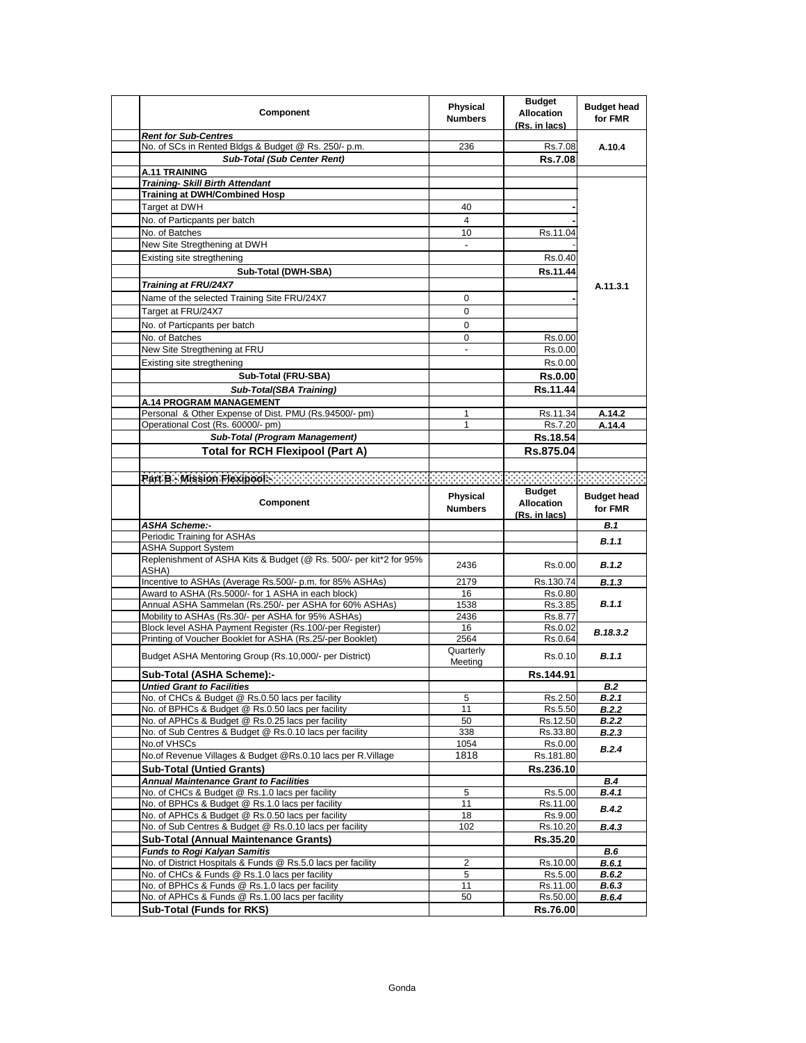| Component                                                                                             | <b>Physical</b><br><b>Numbers</b> | <b>Budget</b><br><b>Allocation</b><br>(Rs. in lacs) | <b>Budget head</b><br>for FMR |
|-------------------------------------------------------------------------------------------------------|-----------------------------------|-----------------------------------------------------|-------------------------------|
| <b>Rent for Sub-Centres</b>                                                                           |                                   |                                                     |                               |
| No. of SCs in Rented Bldgs & Budget @ Rs. 250/- p.m.                                                  | 236                               | Rs.7.08                                             | A.10.4                        |
| <b>Sub-Total (Sub Center Rent)</b>                                                                    |                                   | <b>Rs.7.08</b>                                      |                               |
| <b>A.11 TRAINING</b><br><b>Training- Skill Birth Attendant</b>                                        |                                   |                                                     |                               |
| <b>Training at DWH/Combined Hosp</b>                                                                  |                                   |                                                     |                               |
| Target at DWH                                                                                         | 40                                |                                                     |                               |
| No. of Particpants per batch                                                                          | 4                                 |                                                     |                               |
| No. of Batches                                                                                        | 10                                | Rs.11.04                                            |                               |
| New Site Stregthening at DWH                                                                          |                                   |                                                     |                               |
| Existing site stregthening                                                                            |                                   | Rs.0.40                                             |                               |
| Sub-Total (DWH-SBA)                                                                                   |                                   | Rs.11.44                                            |                               |
| Training at FRU/24X7                                                                                  |                                   |                                                     |                               |
|                                                                                                       |                                   |                                                     | A.11.3.1                      |
| Name of the selected Training Site FRU/24X7                                                           | 0                                 |                                                     |                               |
| Target at FRU/24X7                                                                                    | 0                                 |                                                     |                               |
| No. of Particpants per batch                                                                          | 0                                 |                                                     |                               |
| No. of Batches                                                                                        | 0                                 | Rs.0.00                                             |                               |
| New Site Stregthening at FRU                                                                          | $\frac{1}{2}$                     | Rs.0.00                                             |                               |
| Existing site stregthening                                                                            |                                   | Rs.0.00                                             |                               |
| Sub-Total (FRU-SBA)                                                                                   |                                   | Rs.0.00                                             |                               |
| Sub-Total(SBA Training)                                                                               |                                   | Rs.11.44                                            |                               |
| A.14 PROGRAM MANAGEMENT                                                                               |                                   |                                                     |                               |
| Personal & Other Expense of Dist. PMU (Rs.94500/- pm)                                                 | 1                                 | Rs.11.34                                            | A.14.2                        |
| Operational Cost (Rs. 60000/- pm)                                                                     | 1                                 | Rs.7.20                                             | A.14.4                        |
| Sub-Total (Program Management)                                                                        |                                   | Rs.18.54                                            |                               |
| <b>Total for RCH Flexipool (Part A)</b>                                                               |                                   | Rs.875.04                                           |                               |
|                                                                                                       |                                   |                                                     |                               |
|                                                                                                       |                                   |                                                     |                               |
|                                                                                                       | <b>Physical</b>                   | <b>Budget</b>                                       | <b>Budget head</b>            |
| Component                                                                                             | <b>Numbers</b>                    | <b>Allocation</b>                                   | for FMR                       |
|                                                                                                       |                                   | (Rs. in lacs)                                       |                               |
| <b>ASHA Scheme:-</b><br>Periodic Training for ASHAs                                                   |                                   |                                                     | <b>B.1</b>                    |
| <b>ASHA Support System</b>                                                                            |                                   |                                                     | B.1.1                         |
| Replenishment of ASHA Kits & Budget (@ Rs. 500/- per kit*2 for 95%                                    |                                   |                                                     |                               |
| ASHA)                                                                                                 | 2436                              | Rs.0.00                                             | B.1.2                         |
| Incentive to ASHAs (Average Rs.500/- p.m. for 85% ASHAs)                                              | 2179                              | Rs.130.74                                           | B.1.3                         |
| Award to ASHA (Rs.5000/- for 1 ASHA in each block)                                                    | 16                                | Rs.0.80                                             |                               |
| Annual ASHA Sammelan (Rs.250/- per ASHA for 60% ASHAs)                                                | 1538                              | Rs.3.85                                             | B.1.1                         |
| Mobility to ASHAs (Rs.30/- per ASHA for 95% ASHAs)                                                    | 2436                              | Rs.8.77                                             |                               |
| Block level ASHA Payment Register (Rs.100/-per Register)                                              | 16                                | Rs.0.02                                             | B.18.3.2                      |
| Printing of Voucher Booklet for ASHA (Rs.25/-per Booklet)                                             | 2564<br>Quarterly                 | Rs.0.64                                             |                               |
| Budget ASHA Mentoring Group (Rs.10,000/- per District)                                                | Meeting                           | Rs.0.10                                             | B.1.1                         |
| Sub-Total (ASHA Scheme):-                                                                             |                                   | Rs.144.91                                           |                               |
| Untied Grant to Facilities                                                                            |                                   |                                                     | B.2                           |
| No. of CHCs & Budget @ Rs.0.50 lacs per facility                                                      | 5                                 | Rs.2.50                                             | B.2.1                         |
| No. of BPHCs & Budget @ Rs.0.50 lacs per facility                                                     | 11                                | Rs.5.50                                             | <b>B.2.2</b>                  |
| No. of APHCs & Budget @ Rs.0.25 lacs per facility                                                     | 50                                | Rs.12.50                                            | <b>B.2.2</b>                  |
| No. of Sub Centres & Budget @ Rs.0.10 lacs per facility                                               | 338                               | Rs.33.80                                            | <b>B.2.3</b>                  |
| No.of VHSCs                                                                                           | 1054                              | Rs.0.00                                             | B.2.4                         |
| No.of Revenue Villages & Budget @Rs.0.10 lacs per R.Village                                           | 1818                              | Rs.181.80                                           |                               |
| <b>Sub-Total (Untied Grants)</b>                                                                      |                                   | Rs.236.10                                           |                               |
| <b>Annual Maintenance Grant to Facilities</b>                                                         |                                   |                                                     | <b>B.4</b>                    |
| No. of CHCs & Budget @ Rs.1.0 lacs per facility                                                       | 5                                 | Rs.5.00                                             | B.4.1                         |
| No. of BPHCs & Budget @ Rs.1.0 lacs per facility<br>No. of APHCs & Budget @ Rs.0.50 lacs per facility | 11<br>18                          | Rs.11.00<br>Rs.9.00                                 | <b>B.4.2</b>                  |
| No. of Sub Centres & Budget @ Rs.0.10 lacs per facility                                               | 102                               | Rs.10.20                                            | B.4.3                         |
| <b>Sub-Total (Annual Maintenance Grants)</b>                                                          |                                   | Rs.35.20                                            |                               |
| <b>Funds to Rogi Kalyan Samitis</b>                                                                   |                                   |                                                     | B.6                           |
| No. of District Hospitals & Funds @ Rs.5.0 lacs per facility                                          | 2                                 | Rs.10.00                                            | B.6.1                         |
| No. of CHCs & Funds @ Rs.1.0 lacs per facility                                                        | 5                                 | Rs.5.00                                             | B.6.2                         |
| No. of BPHCs & Funds @ Rs.1.0 lacs per facility                                                       | 11                                |                                                     |                               |
|                                                                                                       |                                   | Rs.11.00                                            | B.6.3                         |
| No. of APHCs & Funds @ Rs.1.00 lacs per facility                                                      | 50                                | Rs.50.00                                            | B.6.4                         |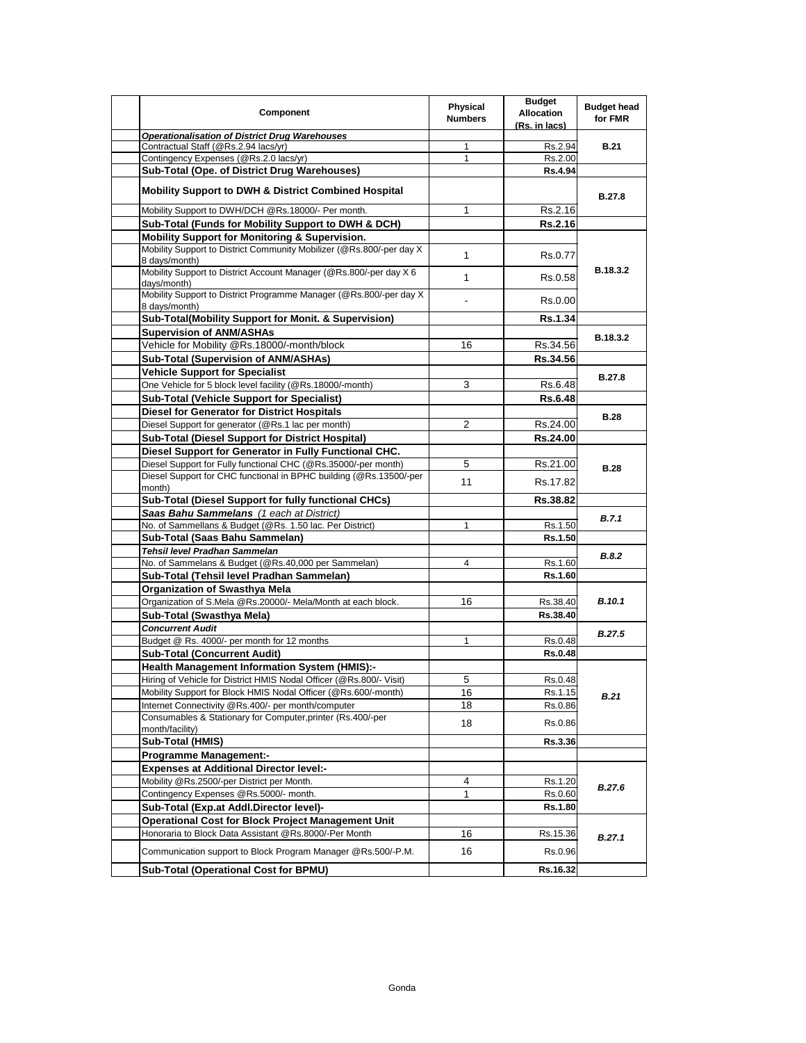| <b>Component</b>                                                                                                                     | Physical<br><b>Numbers</b> | <b>Budget</b><br><b>Allocation</b><br>(Rs. in lacs) | <b>Budget head</b><br>for FMR |
|--------------------------------------------------------------------------------------------------------------------------------------|----------------------------|-----------------------------------------------------|-------------------------------|
| <b>Operationalisation of District Drug Warehouses</b>                                                                                |                            |                                                     |                               |
| Contractual Staff (@Rs.2.94 lacs/yr)<br>Contingency Expenses (@Rs.2.0 lacs/yr)                                                       | 1<br>1                     | Rs.2.94                                             | <b>B.21</b>                   |
| Sub-Total (Ope. of District Drug Warehouses)                                                                                         |                            | Rs.2.00<br>Rs.4.94                                  |                               |
|                                                                                                                                      |                            |                                                     |                               |
| Mobility Support to DWH & District Combined Hospital                                                                                 |                            |                                                     | <b>B.27.8</b>                 |
| Mobility Support to DWH/DCH @Rs.18000/- Per month.                                                                                   | 1                          | Rs.2.16                                             |                               |
| Sub-Total (Funds for Mobility Support to DWH & DCH)                                                                                  |                            | Rs.2.16                                             |                               |
| Mobility Support for Monitoring & Supervision.                                                                                       |                            |                                                     |                               |
| Mobility Support to District Community Mobilizer (@Rs.800/-per day X<br>8 days/month)                                                | $\mathbf{1}$               | Rs.0.77                                             |                               |
| Mobility Support to District Account Manager (@Rs.800/-per day X 6<br>days/month)                                                    | 1                          | Rs.0.58                                             | B.18.3.2                      |
| Mobility Support to District Programme Manager (@Rs.800/-per day X<br>8 days/month)                                                  |                            | Rs.0.00                                             |                               |
| Sub-Total(Mobility Support for Monit. & Supervision)                                                                                 |                            | <b>Rs.1.34</b>                                      |                               |
| <b>Supervision of ANM/ASHAs</b>                                                                                                      |                            |                                                     |                               |
| Vehicle for Mobility @Rs.18000/-month/block                                                                                          | 16                         | Rs.34.56                                            | B.18.3.2                      |
| Sub-Total (Supervision of ANM/ASHAs)                                                                                                 |                            | Rs.34.56                                            |                               |
| <b>Vehicle Support for Specialist</b>                                                                                                |                            |                                                     |                               |
| One Vehicle for 5 block level facility (@Rs.18000/-month)                                                                            | 3                          | Rs.6.48                                             | <b>B.27.8</b>                 |
| <b>Sub-Total (Vehicle Support for Specialist)</b>                                                                                    |                            | <b>Rs.6.48</b>                                      |                               |
| <b>Diesel for Generator for District Hospitals</b>                                                                                   |                            |                                                     |                               |
| Diesel Support for generator (@Rs.1 lac per month)                                                                                   | 2                          | Rs.24.00                                            | <b>B.28</b>                   |
|                                                                                                                                      |                            | Rs.24.00                                            |                               |
| Sub-Total (Diesel Support for District Hospital)                                                                                     |                            |                                                     |                               |
| Diesel Support for Generator in Fully Functional CHC.                                                                                |                            |                                                     |                               |
| Diesel Support for Fully functional CHC (@Rs.35000/-per month)<br>Diesel Support for CHC functional in BPHC building (@Rs.13500/-per | 5                          | Rs.21.00                                            | <b>B.28</b>                   |
| month)                                                                                                                               | 11                         | Rs.17.82                                            |                               |
| Sub-Total (Diesel Support for fully functional CHCs)                                                                                 |                            | Rs.38.82                                            |                               |
| Saas Bahu Sammelans (1 each at District)                                                                                             |                            |                                                     |                               |
| No. of Sammellans & Budget (@Rs. 1.50 lac. Per District)                                                                             | 1                          | Rs.1.50                                             | B.7.1                         |
| Sub-Total (Saas Bahu Sammelan)                                                                                                       |                            | Rs.1.50                                             |                               |
| Tehsil level Pradhan Sammelan                                                                                                        |                            |                                                     |                               |
| No. of Sammelans & Budget (@Rs.40,000 per Sammelan)                                                                                  | 4                          | Rs.1.60                                             | B.8.2                         |
| Sub-Total (Tehsil level Pradhan Sammelan)                                                                                            |                            | Rs.1.60                                             |                               |
| Organization of Swasthya Mela                                                                                                        |                            |                                                     |                               |
| Organization of S.Mela @Rs.20000/- Mela/Month at each block.                                                                         | 16                         | Rs.38.40                                            | B.10.1                        |
| Sub-Total (Swasthya Mela)                                                                                                            |                            | Rs.38.40                                            |                               |
| <b>Concurrent Audit</b>                                                                                                              |                            |                                                     |                               |
| Budget @ Rs. 4000/- per month for 12 months                                                                                          | $\mathbf{1}$               | Rs.0.48                                             | <b>B.27.5</b>                 |
| <b>Sub-Total (Concurrent Audit)</b>                                                                                                  |                            | <b>Rs.0.48</b>                                      |                               |
| <b>Health Management Information System (HMIS):-</b>                                                                                 |                            |                                                     |                               |
| Hiring of Vehicle for District HMIS Nodal Officer (@Rs.800/- Visit)                                                                  | 5                          | Rs.0.48                                             |                               |
| Mobility Support for Block HMIS Nodal Officer (@Rs.600/-month)                                                                       | 16                         | Rs.1.15                                             |                               |
| Internet Connectivity @Rs.400/- per month/computer                                                                                   | 18                         | Rs.0.86                                             | <b>B.21</b>                   |
| Consumables & Stationary for Computer, printer (Rs.400/-per                                                                          |                            |                                                     |                               |
| month/facility)                                                                                                                      | 18                         | Rs.0.86                                             |                               |
| Sub-Total (HMIS)                                                                                                                     |                            | <b>Rs.3.36</b>                                      |                               |
| <b>Programme Management:-</b>                                                                                                        |                            |                                                     |                               |
| <b>Expenses at Additional Director level:-</b>                                                                                       |                            |                                                     |                               |
| Mobility @Rs.2500/-per District per Month.                                                                                           | 4                          | Rs.1.20                                             |                               |
| Contingency Expenses @Rs.5000/- month.                                                                                               | $\mathbf{1}$               | Rs.0.60                                             | <b>B.27.6</b>                 |
| Sub-Total (Exp.at Addl.Director level)-                                                                                              |                            | Rs.1.80                                             |                               |
| Operational Cost for Block Project Management Unit                                                                                   |                            |                                                     |                               |
| Honoraria to Block Data Assistant @Rs.8000/-Per Month                                                                                | 16                         | Rs.15.36                                            |                               |
|                                                                                                                                      |                            |                                                     | B.27.1                        |
| Communication support to Block Program Manager @Rs.500/-P.M.<br>Sub-Total (Operational Cost for BPMU)                                | 16                         | Rs.0.96<br>Rs.16.32                                 |                               |
|                                                                                                                                      |                            |                                                     |                               |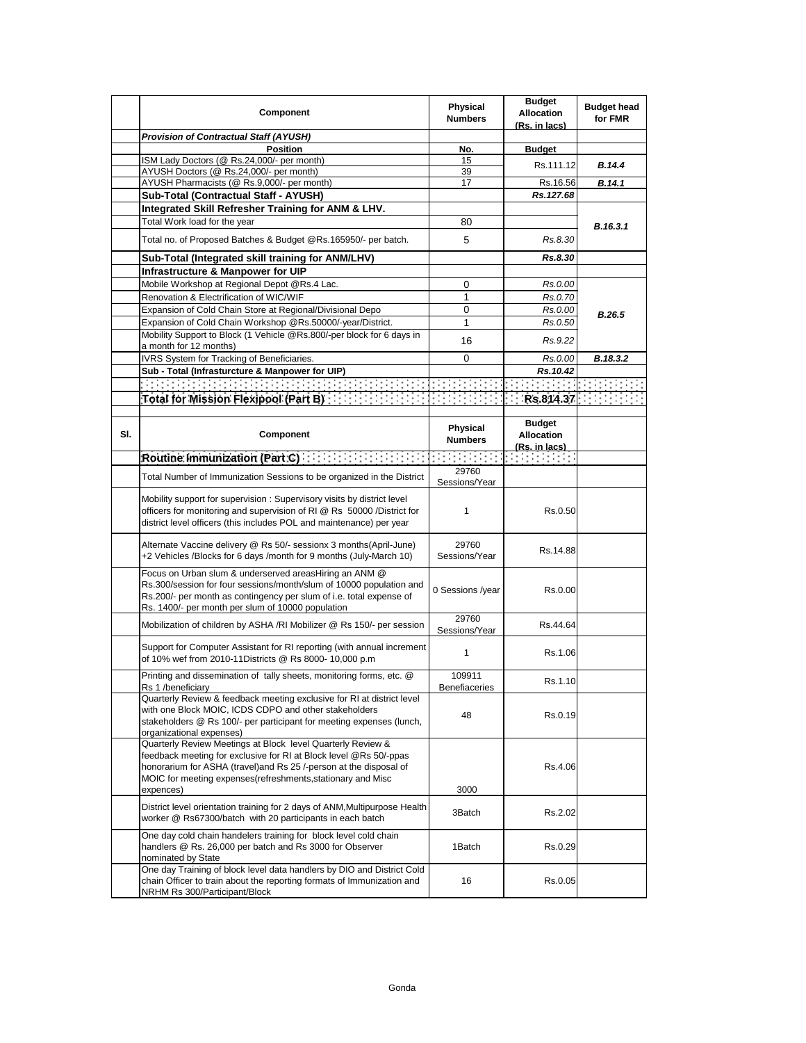|     | Component                                                                                                                                                                                                                                                                           | Physical<br><b>Numbers</b> | <b>Budget</b><br><b>Allocation</b><br>(Rs. in lacs)        | <b>Budget head</b><br>for FMR |
|-----|-------------------------------------------------------------------------------------------------------------------------------------------------------------------------------------------------------------------------------------------------------------------------------------|----------------------------|------------------------------------------------------------|-------------------------------|
|     | <b>Provision of Contractual Staff (AYUSH)</b>                                                                                                                                                                                                                                       |                            |                                                            |                               |
|     | <b>Position</b>                                                                                                                                                                                                                                                                     | No.                        | <b>Budget</b>                                              |                               |
|     | ISM Lady Doctors (@ Rs.24,000/- per month)                                                                                                                                                                                                                                          | 15                         | Rs.111.12                                                  | <b>B.14.4</b>                 |
|     | AYUSH Doctors (@ Rs.24,000/- per month)                                                                                                                                                                                                                                             | 39                         |                                                            |                               |
|     | AYUSH Pharmacists (@ Rs.9,000/- per month)                                                                                                                                                                                                                                          | 17                         | Rs.16.56                                                   | B.14.1                        |
|     | Sub-Total (Contractual Staff - AYUSH)                                                                                                                                                                                                                                               |                            | Rs.127.68                                                  |                               |
|     | Integrated Skill Refresher Training for ANM & LHV.                                                                                                                                                                                                                                  |                            |                                                            |                               |
|     | Total Work load for the year                                                                                                                                                                                                                                                        | 80                         |                                                            | B.16.3.1                      |
|     | Total no. of Proposed Batches & Budget @Rs.165950/- per batch.                                                                                                                                                                                                                      | 5                          | Rs.8.30                                                    |                               |
|     | Sub-Total (Integrated skill training for ANM/LHV)                                                                                                                                                                                                                                   |                            | <b>Rs.8.30</b>                                             |                               |
|     | Infrastructure & Manpower for UIP                                                                                                                                                                                                                                                   |                            |                                                            |                               |
|     | Mobile Workshop at Regional Depot @Rs.4 Lac.                                                                                                                                                                                                                                        | 0                          | Rs.0.00                                                    |                               |
|     | Renovation & Electrification of WIC/WIF                                                                                                                                                                                                                                             | 1                          | Rs.0.70                                                    |                               |
|     | Expansion of Cold Chain Store at Regional/Divisional Depo                                                                                                                                                                                                                           | 0                          | Rs.0.00                                                    |                               |
|     |                                                                                                                                                                                                                                                                                     |                            |                                                            | B.26.5                        |
|     | Expansion of Cold Chain Workshop @Rs.50000/-year/District.<br>Mobility Support to Block (1 Vehicle @Rs.800/-per block for 6 days in                                                                                                                                                 | 1<br>16                    | Rs.0.50<br>Rs.9.22                                         |                               |
|     | a month for 12 months)                                                                                                                                                                                                                                                              |                            |                                                            |                               |
|     | IVRS System for Tracking of Beneficiaries.                                                                                                                                                                                                                                          | 0                          | Rs.0.00                                                    | B.18.3.2                      |
|     | Sub - Total (Infrasturcture & Manpower for UIP)                                                                                                                                                                                                                                     |                            | Rs.10.42                                                   |                               |
|     | a se propinsi propinsi propinsi propinsi propinsi propinsi propinsi propinsi propinsi propinsi propinsi propin<br>Propinsi propinsi propinsi propinsi propinsi propinsi propinsi propinsi propinsi propinsi propinsi propinsi pr                                                    |                            |                                                            |                               |
|     |                                                                                                                                                                                                                                                                                     |                            |                                                            |                               |
|     |                                                                                                                                                                                                                                                                                     |                            |                                                            |                               |
| SI. | Component                                                                                                                                                                                                                                                                           | Physical<br><b>Numbers</b> | <b>Budget</b><br><b>Allocation</b><br><u>(Rs. in lacs)</u> |                               |
|     |                                                                                                                                                                                                                                                                                     |                            | <b>March Corp.</b>                                         |                               |
|     | Total Number of Immunization Sessions to be organized in the District                                                                                                                                                                                                               | 29760<br>Sessions/Year     |                                                            |                               |
|     | Mobility support for supervision: Supervisory visits by district level<br>officers for monitoring and supervision of RI @ Rs 50000 /District for<br>district level officers (this includes POL and maintenance) per year                                                            | $\mathbf{1}$               | Rs.0.50                                                    |                               |
|     | Alternate Vaccine delivery @ Rs 50/- sessionx 3 months(April-June)<br>+2 Vehicles /Blocks for 6 days /month for 9 months (July-March 10)                                                                                                                                            | 29760<br>Sessions/Year     | Rs.14.88                                                   |                               |
|     | Focus on Urban slum & underserved areasHiring an ANM @<br>Rs.300/session for four sessions/month/slum of 10000 population and<br>Rs.200/- per month as contingency per slum of i.e. total expense of<br>Rs. 1400/- per month per slum of 10000 population                           | 0 Sessions /year           | Rs.0.00                                                    |                               |
|     | Mobilization of children by ASHA /RI Mobilizer @ Rs 150/- per session                                                                                                                                                                                                               | 29760<br>Sessions/Year     | Rs.44.64                                                   |                               |
|     | Support for Computer Assistant for RI reporting (with annual increment<br>of 10% wef from 2010-11Districts @ Rs 8000- 10,000 p.m                                                                                                                                                    | 1                          | Rs.1.06                                                    |                               |
|     | Printing and dissemination of tally sheets, monitoring forms, etc. @<br>Rs 1 /beneficiary                                                                                                                                                                                           | 109911<br>Benefiaceries    | Rs.1.10                                                    |                               |
|     | Quarterly Review & feedback meeting exclusive for RI at district level<br>with one Block MOIC, ICDS CDPO and other stakeholders<br>stakeholders @ Rs 100/- per participant for meeting expenses (lunch,<br>organizational expenses)                                                 | 48                         | Rs.0.19                                                    |                               |
|     | Quarterly Review Meetings at Block level Quarterly Review &<br>feedback meeting for exclusive for RI at Block level @Rs 50/-ppas<br>honorarium for ASHA (travel) and Rs 25 /-person at the disposal of<br>MOIC for meeting expenses (refreshments, stationary and Misc<br>expences) | 3000                       | Rs.4.06                                                    |                               |
|     | District level orientation training for 2 days of ANM, Multipurpose Health<br>worker @ Rs67300/batch with 20 participants in each batch                                                                                                                                             | 3Batch                     | Rs.2.02                                                    |                               |
|     | One day cold chain handelers training for block level cold chain<br>handlers @ Rs. 26,000 per batch and Rs 3000 for Observer<br>nominated by State                                                                                                                                  | 1Batch                     | Rs.0.29                                                    |                               |
|     | One day Training of block level data handlers by DIO and District Cold<br>chain Officer to train about the reporting formats of Immunization and<br>NRHM Rs 300/Participant/Block                                                                                                   | 16                         | Rs.0.05                                                    |                               |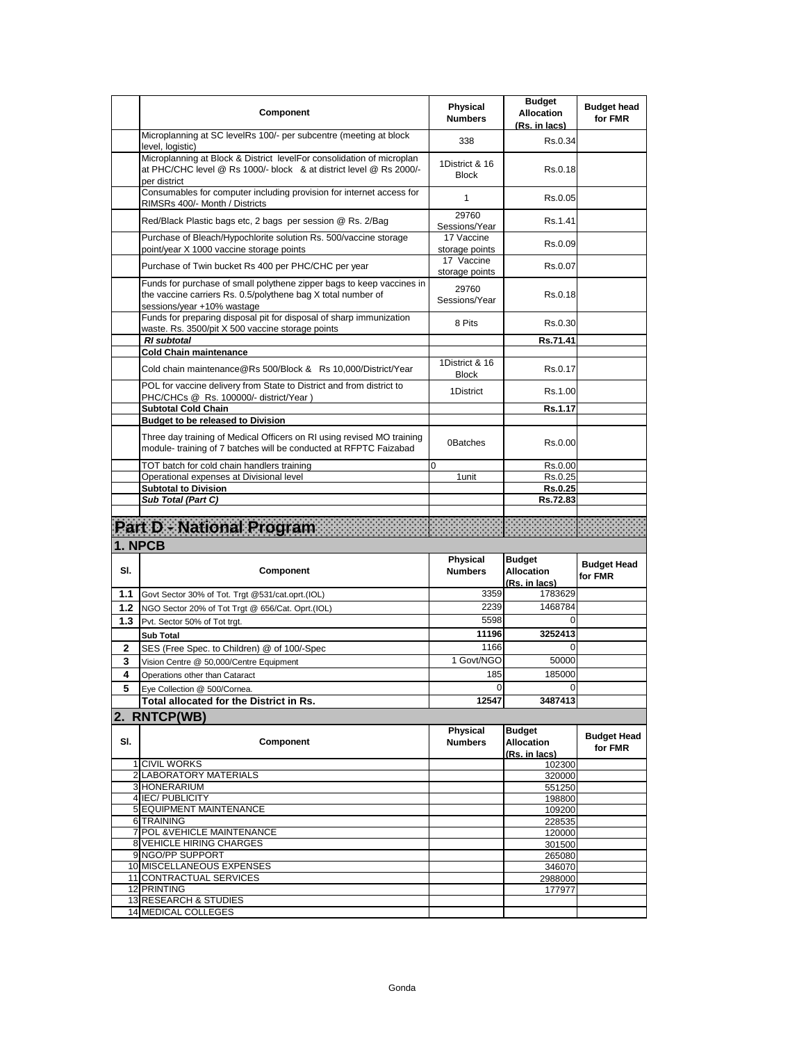|     | Component                                                                                                                                                           | <b>Physical</b><br><b>Numbers</b> | <b>Budget</b><br><b>Allocation</b><br>(Rs. in lacs) | <b>Budget head</b><br>for FMR |
|-----|---------------------------------------------------------------------------------------------------------------------------------------------------------------------|-----------------------------------|-----------------------------------------------------|-------------------------------|
|     | Microplanning at SC levelRs 100/- per subcentre (meeting at block<br>level, logistic)                                                                               | 338                               | Rs.0.34                                             |                               |
|     | Microplanning at Block & District levelFor consolidation of microplan<br>at PHC/CHC level @ Rs 1000/- block & at district level @ Rs 2000/-<br>per district         | 1District & 16<br><b>Block</b>    | Rs.0.18                                             |                               |
|     | Consumables for computer including provision for internet access for<br>RIMSRs 400/- Month / Districts                                                              | 1                                 | Rs.0.05                                             |                               |
|     | Red/Black Plastic bags etc, 2 bags per session @ Rs. 2/Bag                                                                                                          | 29760<br>Sessions/Year            | Rs.1.41                                             |                               |
|     | Purchase of Bleach/Hypochlorite solution Rs. 500/vaccine storage<br>point/year X 1000 vaccine storage points                                                        | 17 Vaccine<br>storage points      | Rs.0.09                                             |                               |
|     | Purchase of Twin bucket Rs 400 per PHC/CHC per year                                                                                                                 | 17 Vaccine<br>storage points      | Rs.0.07                                             |                               |
|     | Funds for purchase of small polythene zipper bags to keep vaccines in<br>the vaccine carriers Rs. 0.5/polythene bag X total number of<br>sessions/year +10% wastage | 29760<br>Sessions/Year            | Rs.0.18                                             |                               |
|     | Funds for preparing disposal pit for disposal of sharp immunization<br>waste. Rs. 3500/pit X 500 vaccine storage points                                             | 8 Pits                            | Rs.0.30                                             |                               |
|     | <b>RI</b> subtotal                                                                                                                                                  |                                   | Rs.71.41                                            |                               |
|     | <b>Cold Chain maintenance</b>                                                                                                                                       | 1District & 16                    |                                                     |                               |
|     | Cold chain maintenance@Rs 500/Block & Rs 10,000/District/Year                                                                                                       | <b>Block</b>                      | Rs.0.17                                             |                               |
|     | POL for vaccine delivery from State to District and from district to<br>PHC/CHCs @ Rs. 100000/- district/Year)                                                      | 1District                         | Rs.1.00                                             |                               |
|     | <b>Subtotal Cold Chain</b>                                                                                                                                          |                                   | Rs.1.17                                             |                               |
|     | <b>Budget to be released to Division</b>                                                                                                                            |                                   |                                                     |                               |
|     | Three day training of Medical Officers on RI using revised MO training<br>module-training of 7 batches will be conducted at RFPTC Faizabad                          | 0Batches                          | Rs.0.00                                             |                               |
|     | TOT batch for cold chain handlers training                                                                                                                          | 0                                 | Rs.0.00                                             |                               |
|     | Operational expenses at Divisional level<br><b>Subtotal to Division</b>                                                                                             | 1unit                             | Rs.0.25<br>Rs.0.25                                  |                               |
|     | Sub Total (Part C)                                                                                                                                                  |                                   | Rs.72.83                                            |                               |
|     |                                                                                                                                                                     |                                   |                                                     |                               |
|     |                                                                                                                                                                     |                                   |                                                     |                               |
|     |                                                                                                                                                                     |                                   |                                                     |                               |
|     | <b>Part D - National Program</b>                                                                                                                                    |                                   |                                                     |                               |
|     | 1. NPCB                                                                                                                                                             |                                   |                                                     |                               |
| SI. | Component                                                                                                                                                           | <b>Physical</b><br><b>Numbers</b> | <b>Budget</b><br><b>Allocation</b><br>(Rs. in lacs) | <b>Budget Head</b><br>for FMR |
| 1.1 | Govt Sector 30% of Tot. Trgt @531/cat.oprt.(IOL)                                                                                                                    | 3359                              | 1783629                                             |                               |
| 1.2 | NGO Sector 20% of Tot Trgt @ 656/Cat. Oprt.(IOL)                                                                                                                    | 2239                              | 1468784                                             |                               |
| 1.3 | Pvt. Sector 50% of Tot trgt.                                                                                                                                        | 5598                              | $\Omega$                                            |                               |
|     | <b>Sub Total</b>                                                                                                                                                    | 11196                             | 3252413                                             |                               |
| 2   | SES (Free Spec. to Children) @ of 100/-Spec                                                                                                                         | 1166                              | 0                                                   |                               |
| 3   | Vision Centre @ 50,000/Centre Equipment                                                                                                                             | 1 Govt/NGO                        | 50000                                               |                               |
| 4   | Operations other than Cataract                                                                                                                                      | 185                               | 185000                                              |                               |
| 5   | Eye Collection @ 500/Cornea.                                                                                                                                        | 0                                 | 0                                                   |                               |
|     | Total allocated for the District in Rs.                                                                                                                             | 12547                             | 3487413                                             |                               |
|     | 2. RNTCP(WB)                                                                                                                                                        |                                   |                                                     |                               |
| SI. | Component                                                                                                                                                           | <b>Physical</b><br><b>Numbers</b> | <b>Budget</b><br><b>Allocation</b><br>(Rs. in lacs) | <b>Budget Head</b><br>for FMR |
|     | 1 CIVIL WORKS                                                                                                                                                       |                                   | 102300                                              |                               |
|     | 2 LABORATORY MATERIALS                                                                                                                                              |                                   | 320000                                              |                               |
|     | 3 HONERARIUM                                                                                                                                                        |                                   | 551250                                              |                               |
|     | 4 IEC/ PUBLICITY                                                                                                                                                    |                                   | 198800                                              |                               |
|     | 5 EQUIPMENT MAINTENANCE                                                                                                                                             |                                   | 109200                                              |                               |
|     | 6 TRAINING<br>7 POL & VEHICLE MAINTENANCE                                                                                                                           |                                   | 228535<br>120000                                    |                               |
|     | 8 VEHICLE HIRING CHARGES                                                                                                                                            |                                   | 301500                                              |                               |
|     | 9 NGO/PP SUPPORT                                                                                                                                                    |                                   | 265080                                              |                               |
|     | 10 MISCELLANEOUS EXPENSES                                                                                                                                           |                                   | 346070                                              |                               |
|     | 11 CONTRACTUAL SERVICES                                                                                                                                             |                                   | 2988000                                             |                               |
|     | 12 PRINTING<br>13 RESEARCH & STUDIES                                                                                                                                |                                   | 177977                                              |                               |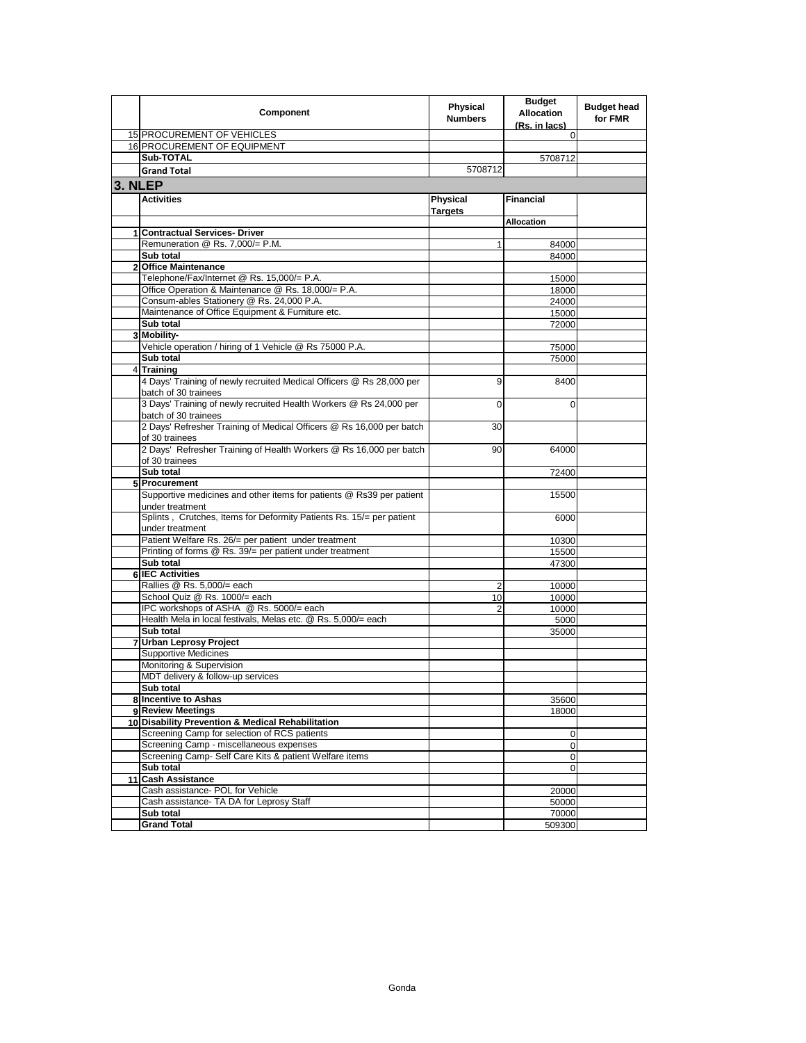|         | <b>Component</b>                                                                             | Physical<br><b>Numbers</b> | <b>Budget</b><br><b>Allocation</b><br>(Rs. in lacs) | <b>Budget head</b><br>for FMR |
|---------|----------------------------------------------------------------------------------------------|----------------------------|-----------------------------------------------------|-------------------------------|
|         | 15 PROCUREMENT OF VEHICLES                                                                   |                            | $\mathbf{0}$                                        |                               |
|         | 16 PROCUREMENT OF EQUIPMENT                                                                  |                            |                                                     |                               |
|         | Sub-TOTAL                                                                                    |                            | 5708712                                             |                               |
|         | <b>Grand Total</b>                                                                           | 5708712                    |                                                     |                               |
| 3. NLEP |                                                                                              |                            |                                                     |                               |
|         |                                                                                              |                            |                                                     |                               |
|         | <b>Activities</b>                                                                            | Physical<br><b>Targets</b> | <b>Financial</b><br><b>Allocation</b>               |                               |
|         | <b>Contractual Services- Driver</b>                                                          |                            |                                                     |                               |
|         | Remuneration @ Rs. 7,000/= P.M.                                                              | 1                          | 84000                                               |                               |
|         | Sub total                                                                                    |                            | 84000                                               |                               |
|         | 2 Office Maintenance                                                                         |                            |                                                     |                               |
|         | Telephone/Fax/Internet @ Rs. 15,000/= P.A.                                                   |                            |                                                     |                               |
|         | Office Operation & Maintenance @ Rs. 18,000/= P.A.                                           |                            | 15000                                               |                               |
|         | Consum-ables Stationery @ Rs. 24,000 P.A.                                                    |                            | 18000                                               |                               |
|         |                                                                                              |                            | 24000                                               |                               |
|         | Maintenance of Office Equipment & Furniture etc.                                             |                            | 15000                                               |                               |
|         | Sub total                                                                                    |                            | 72000                                               |                               |
|         | 3 Mobility-                                                                                  |                            |                                                     |                               |
|         | Vehicle operation / hiring of 1 Vehicle @ Rs 75000 P.A.                                      |                            | 75000                                               |                               |
|         | Sub total                                                                                    |                            | 75000                                               |                               |
|         | 4 Training<br>4 Days' Training of newly recruited Medical Officers @ Rs 28,000 per           | 9                          | 8400                                                |                               |
|         | batch of 30 trainees<br>3 Days' Training of newly recruited Health Workers @ Rs 24,000 per   | 0                          | $\Omega$                                            |                               |
|         | batch of 30 trainees<br>2 Days' Refresher Training of Medical Officers @ Rs 16,000 per batch | 30                         |                                                     |                               |
|         | of 30 trainees<br>2 Days' Refresher Training of Health Workers @ Rs 16,000 per batch         | 90                         | 64000                                               |                               |
|         | of 30 trainees                                                                               |                            |                                                     |                               |
|         | Sub total                                                                                    |                            | 72400                                               |                               |
|         | 5 Procurement                                                                                |                            |                                                     |                               |
|         | Supportive medicines and other items for patients @ Rs39 per patient<br>under treatment      |                            | 15500                                               |                               |
|         | Splints, Crutches, Items for Deformity Patients Rs. 15/= per patient<br>under treatment      |                            | 6000                                                |                               |
|         | Patient Welfare Rs. 26/= per patient under treatment                                         |                            | 10300                                               |                               |
|         | Printing of forms @ Rs. 39/= per patient under treatment                                     |                            | 15500                                               |                               |
|         | Sub total                                                                                    |                            | 47300                                               |                               |
|         | 6 IEC Activities                                                                             |                            |                                                     |                               |
|         | Rallies @ Rs. 5,000/= each                                                                   | $\overline{2}$             | 10000                                               |                               |
|         | School Quiz @ Rs. 1000/= each                                                                | 10                         | 10000                                               |                               |
|         | IPC workshops of ASHA @ Rs. 5000/= each                                                      | 2                          | 10000                                               |                               |
|         | Health Mela in local festivals, Melas etc. @ Rs. 5,000/= each                                |                            | 5000                                                |                               |
|         | Sub total                                                                                    |                            | 35000                                               |                               |
|         | 7 Urban Leprosy Project                                                                      |                            |                                                     |                               |
|         | <b>Supportive Medicines</b>                                                                  |                            |                                                     |                               |
|         | Monitoring & Supervision                                                                     |                            |                                                     |                               |
|         | MDT delivery & follow-up services                                                            |                            |                                                     |                               |
|         | Sub total                                                                                    |                            |                                                     |                               |
|         | 8 Incentive to Ashas                                                                         |                            | 35600                                               |                               |
|         | 9 Review Meetings                                                                            |                            | 18000                                               |                               |
|         | 10 Disability Prevention & Medical Rehabilitation                                            |                            |                                                     |                               |
|         | Screening Camp for selection of RCS patients                                                 |                            | 0                                                   |                               |
|         | Screening Camp - miscellaneous expenses                                                      |                            | $\mathbf 0$                                         |                               |
|         | Screening Camp- Self Care Kits & patient Welfare items                                       |                            | $\mathbf 0$                                         |                               |
|         | Sub total                                                                                    |                            | $\overline{0}$                                      |                               |
|         | 11 Cash Assistance                                                                           |                            |                                                     |                               |
|         | Cash assistance- POL for Vehicle                                                             |                            | 20000                                               |                               |
|         | Cash assistance- TA DA for Leprosy Staff                                                     |                            | 50000                                               |                               |
|         | Sub total                                                                                    |                            | 70000                                               |                               |
|         |                                                                                              |                            |                                                     |                               |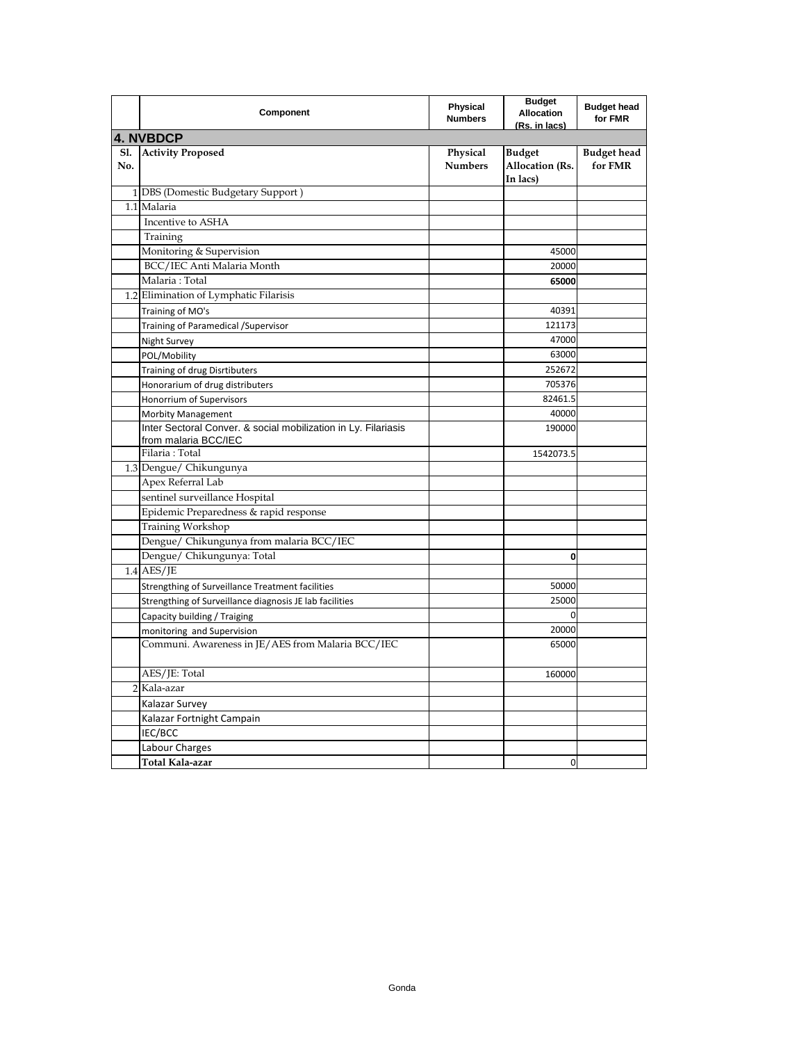|                   | Component                                                                              | Physical<br><b>Numbers</b> | <b>Budget</b><br><b>Allocation</b><br>(Rs. in lacs) | <b>Budget head</b><br>for FMR |
|-------------------|----------------------------------------------------------------------------------------|----------------------------|-----------------------------------------------------|-------------------------------|
|                   | <b>4. NVBDCP</b>                                                                       |                            |                                                     |                               |
| <b>Sl.</b><br>No. | <b>Activity Proposed</b>                                                               | Physical<br><b>Numbers</b> | <b>Budget</b><br>Allocation (Rs.<br>In lacs)        | <b>Budget head</b><br>for FMR |
|                   | 1 DBS (Domestic Budgetary Support)                                                     |                            |                                                     |                               |
|                   | 1.1 Malaria                                                                            |                            |                                                     |                               |
|                   | Incentive to ASHA                                                                      |                            |                                                     |                               |
|                   | Training                                                                               |                            |                                                     |                               |
|                   | Monitoring & Supervision                                                               |                            | 45000                                               |                               |
|                   | BCC/IEC Anti Malaria Month                                                             |                            | 20000                                               |                               |
|                   | Malaria: Total                                                                         |                            | 65000                                               |                               |
|                   | 1.2 Elimination of Lymphatic Filarisis                                                 |                            |                                                     |                               |
|                   | Training of MO's                                                                       |                            | 40391                                               |                               |
|                   | Training of Paramedical / Supervisor                                                   |                            | 121173                                              |                               |
|                   | Night Survey                                                                           |                            | 47000                                               |                               |
|                   | POL/Mobility                                                                           |                            | 63000                                               |                               |
|                   | Training of drug Disrtibuters                                                          |                            | 252672                                              |                               |
|                   | Honorarium of drug distributers                                                        |                            | 705376                                              |                               |
|                   | Honorrium of Supervisors                                                               |                            | 82461.5                                             |                               |
|                   | <b>Morbity Management</b>                                                              |                            | 40000                                               |                               |
|                   | Inter Sectoral Conver. & social mobilization in Ly. Filariasis<br>from malaria BCC/IEC |                            | 190000                                              |                               |
|                   | Filaria: Total                                                                         |                            | 1542073.5                                           |                               |
|                   | 1.3 Dengue/ Chikungunya                                                                |                            |                                                     |                               |
|                   | Apex Referral Lab                                                                      |                            |                                                     |                               |
|                   | sentinel surveillance Hospital                                                         |                            |                                                     |                               |
|                   | Epidemic Preparedness & rapid response                                                 |                            |                                                     |                               |
|                   | Training Workshop                                                                      |                            |                                                     |                               |
|                   | Dengue/ Chikungunya from malaria BCC/IEC                                               |                            |                                                     |                               |
|                   | Dengue/ Chikungunya: Total                                                             |                            | 0                                                   |                               |
|                   | $1.4$ AES/JE                                                                           |                            |                                                     |                               |
|                   | Strengthing of Surveillance Treatment facilities                                       |                            | 50000                                               |                               |
|                   | Strengthing of Surveillance diagnosis JE lab facilities                                |                            | 25000                                               |                               |
|                   | Capacity building / Traiging                                                           |                            | 0                                                   |                               |
|                   | monitoring and Supervision                                                             |                            | 20000                                               |                               |
|                   | Communi. Awareness in JE/AES from Malaria BCC/IEC                                      |                            | 65000                                               |                               |
|                   | AES/JE: Total                                                                          |                            | 160000                                              |                               |
|                   | 2 Kala-azar                                                                            |                            |                                                     |                               |
|                   | Kalazar Survey                                                                         |                            |                                                     |                               |
|                   | Kalazar Fortnight Campain                                                              |                            |                                                     |                               |
|                   | IEC/BCC                                                                                |                            |                                                     |                               |
|                   | Labour Charges                                                                         |                            |                                                     |                               |
|                   | Total Kala-azar                                                                        |                            | 0                                                   |                               |